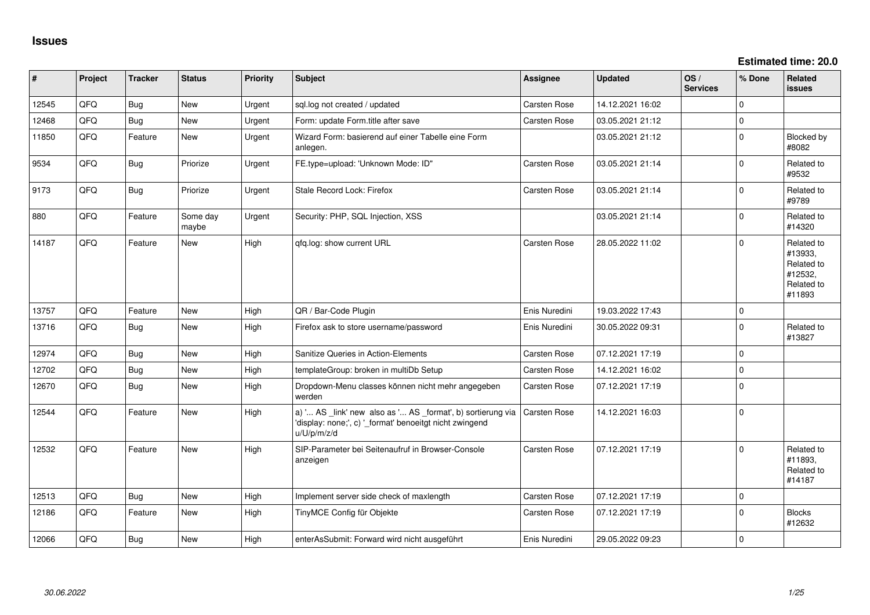**Estimated time: 20.0**

| #     | Project | <b>Tracker</b> | <b>Status</b>     | Priority | <b>Subject</b>                                                                                                                        | <b>Assignee</b> | <b>Updated</b>   | OS/<br><b>Services</b> | % Done      | Related<br><b>issues</b>                                               |
|-------|---------|----------------|-------------------|----------|---------------------------------------------------------------------------------------------------------------------------------------|-----------------|------------------|------------------------|-------------|------------------------------------------------------------------------|
| 12545 | QFQ     | <b>Bug</b>     | <b>New</b>        | Urgent   | sql.log not created / updated                                                                                                         | Carsten Rose    | 14.12.2021 16:02 |                        | $\Omega$    |                                                                        |
| 12468 | QFQ     | <b>Bug</b>     | New               | Urgent   | Form: update Form.title after save                                                                                                    | Carsten Rose    | 03.05.2021 21:12 |                        | $\mathbf 0$ |                                                                        |
| 11850 | QFQ     | Feature        | New               | Urgent   | Wizard Form: basierend auf einer Tabelle eine Form<br>anlegen.                                                                        |                 | 03.05.2021 21:12 |                        | $\mathbf 0$ | Blocked by<br>#8082                                                    |
| 9534  | QFQ     | <b>Bug</b>     | Priorize          | Urgent   | FE.type=upload: 'Unknown Mode: ID"                                                                                                    | Carsten Rose    | 03.05.2021 21:14 |                        | $\mathbf 0$ | Related to<br>#9532                                                    |
| 9173  | QFQ     | <b>Bug</b>     | Priorize          | Urgent   | Stale Record Lock: Firefox                                                                                                            | Carsten Rose    | 03.05.2021 21:14 |                        | $\Omega$    | Related to<br>#9789                                                    |
| 880   | QFQ     | Feature        | Some day<br>maybe | Urgent   | Security: PHP, SQL Injection, XSS                                                                                                     |                 | 03.05.2021 21:14 |                        | $\mathbf 0$ | Related to<br>#14320                                                   |
| 14187 | QFQ     | Feature        | New               | High     | qfq.log: show current URL                                                                                                             | Carsten Rose    | 28.05.2022 11:02 |                        | $\Omega$    | Related to<br>#13933,<br>Related to<br>#12532,<br>Related to<br>#11893 |
| 13757 | QFQ     | Feature        | <b>New</b>        | High     | QR / Bar-Code Plugin                                                                                                                  | Enis Nuredini   | 19.03.2022 17:43 |                        | $\pmb{0}$   |                                                                        |
| 13716 | QFQ     | Bug            | <b>New</b>        | High     | Firefox ask to store username/password                                                                                                | Enis Nuredini   | 30.05.2022 09:31 |                        | $\mathbf 0$ | Related to<br>#13827                                                   |
| 12974 | QFQ     | Bug            | <b>New</b>        | High     | Sanitize Queries in Action-Elements                                                                                                   | Carsten Rose    | 07.12.2021 17:19 |                        | $\mathbf 0$ |                                                                        |
| 12702 | QFQ     | <b>Bug</b>     | <b>New</b>        | High     | templateGroup: broken in multiDb Setup                                                                                                | Carsten Rose    | 14.12.2021 16:02 |                        | $\Omega$    |                                                                        |
| 12670 | QFQ     | <b>Bug</b>     | New               | High     | Dropdown-Menu classes können nicht mehr angegeben<br>werden                                                                           | Carsten Rose    | 07.12.2021 17:19 |                        | $\mathbf 0$ |                                                                        |
| 12544 | QFQ     | Feature        | New               | High     | a) ' AS _link' new also as ' AS _format', b) sortierung via<br>'display: none;', c) '_format' benoeitgt nicht zwingend<br>u/U/p/m/z/d | Carsten Rose    | 14.12.2021 16:03 |                        | $\mathbf 0$ |                                                                        |
| 12532 | QFQ     | Feature        | <b>New</b>        | High     | SIP-Parameter bei Seitenaufruf in Browser-Console<br>anzeigen                                                                         | Carsten Rose    | 07.12.2021 17:19 |                        | $\Omega$    | Related to<br>#11893,<br>Related to<br>#14187                          |
| 12513 | QFQ     | Bug            | New               | High     | Implement server side check of maxlength                                                                                              | Carsten Rose    | 07.12.2021 17:19 |                        | $\mathbf 0$ |                                                                        |
| 12186 | QFQ     | Feature        | New               | High     | TinyMCE Config für Objekte                                                                                                            | Carsten Rose    | 07.12.2021 17:19 |                        | $\mathbf 0$ | <b>Blocks</b><br>#12632                                                |
| 12066 | QFQ     | Bug            | <b>New</b>        | High     | enterAsSubmit: Forward wird nicht ausgeführt                                                                                          | Enis Nuredini   | 29.05.2022 09:23 |                        | $\mathbf 0$ |                                                                        |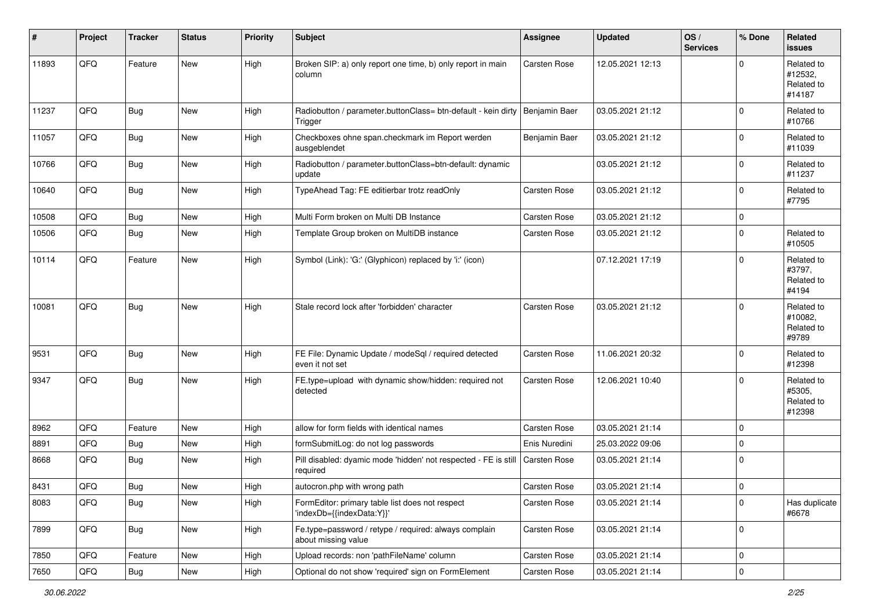| #     | Project        | <b>Tracker</b> | <b>Status</b> | <b>Priority</b> | <b>Subject</b>                                                               | <b>Assignee</b>     | <b>Updated</b>   | OS/<br><b>Services</b> | % Done              | Related<br><b>issues</b>                      |
|-------|----------------|----------------|---------------|-----------------|------------------------------------------------------------------------------|---------------------|------------------|------------------------|---------------------|-----------------------------------------------|
| 11893 | QFQ            | Feature        | New           | High            | Broken SIP: a) only report one time, b) only report in main<br>column        | Carsten Rose        | 12.05.2021 12:13 |                        | $\Omega$            | Related to<br>#12532,<br>Related to<br>#14187 |
| 11237 | QFQ            | <b>Bug</b>     | New           | High            | Radiobutton / parameter.buttonClass= btn-default - kein dirty<br>Trigger     | Benjamin Baer       | 03.05.2021 21:12 |                        | $\mathbf 0$         | Related to<br>#10766                          |
| 11057 | QFQ            | <b>Bug</b>     | New           | High            | Checkboxes ohne span.checkmark im Report werden<br>ausgeblendet              | Benjamin Baer       | 03.05.2021 21:12 |                        | $\mathbf 0$         | Related to<br>#11039                          |
| 10766 | QFQ            | Bug            | <b>New</b>    | High            | Radiobutton / parameter.buttonClass=btn-default: dynamic<br>update           |                     | 03.05.2021 21:12 |                        | $\mathbf 0$         | Related to<br>#11237                          |
| 10640 | QFQ            | <b>Bug</b>     | <b>New</b>    | High            | TypeAhead Tag: FE editierbar trotz readOnly                                  | <b>Carsten Rose</b> | 03.05.2021 21:12 |                        | $\Omega$            | Related to<br>#7795                           |
| 10508 | QFQ            | Bug            | <b>New</b>    | High            | Multi Form broken on Multi DB Instance                                       | <b>Carsten Rose</b> | 03.05.2021 21:12 |                        | $\mathbf 0$         |                                               |
| 10506 | QFQ            | Bug            | New           | High            | Template Group broken on MultiDB instance                                    | <b>Carsten Rose</b> | 03.05.2021 21:12 |                        | 0                   | Related to<br>#10505                          |
| 10114 | QFQ            | Feature        | <b>New</b>    | High            | Symbol (Link): 'G:' (Glyphicon) replaced by 'i:' (icon)                      |                     | 07.12.2021 17:19 |                        | $\mathbf 0$         | Related to<br>#3797,<br>Related to<br>#4194   |
| 10081 | QFQ            | Bug            | <b>New</b>    | High            | Stale record lock after 'forbidden' character                                | <b>Carsten Rose</b> | 03.05.2021 21:12 |                        | $\Omega$            | Related to<br>#10082,<br>Related to<br>#9789  |
| 9531  | QFQ            | <b>Bug</b>     | New           | High            | FE File: Dynamic Update / modeSql / required detected<br>even it not set     | <b>Carsten Rose</b> | 11.06.2021 20:32 |                        | 0                   | Related to<br>#12398                          |
| 9347  | QFQ            | <b>Bug</b>     | <b>New</b>    | High            | FE.type=upload with dynamic show/hidden: required not<br>detected            | Carsten Rose        | 12.06.2021 10:40 |                        | $\mathbf 0$         | Related to<br>#5305,<br>Related to<br>#12398  |
| 8962  | QFQ            | Feature        | New           | High            | allow for form fields with identical names                                   | <b>Carsten Rose</b> | 03.05.2021 21:14 |                        | 0                   |                                               |
| 8891  | QFQ            | Bug            | <b>New</b>    | High            | formSubmitLog: do not log passwords                                          | Enis Nuredini       | 25.03.2022 09:06 |                        | 0                   |                                               |
| 8668  | QFQ            | <b>Bug</b>     | <b>New</b>    | High            | Pill disabled: dyamic mode 'hidden' not respected - FE is still<br>required  | <b>Carsten Rose</b> | 03.05.2021 21:14 |                        | $\mathbf 0$         |                                               |
| 8431  | QFQ            | Bug            | New           | High            | autocron.php with wrong path                                                 | <b>Carsten Rose</b> | 03.05.2021 21:14 |                        | 0                   |                                               |
| 8083  | QFQ            | Bug            | New           | High            | FormEditor: primary table list does not respect<br>'indexDb={{indexData:Y}}' | Carsten Rose        | 03.05.2021 21:14 |                        | $\mathbf 0$         | Has duplicate<br>#6678                        |
| 7899  | QFQ            | <b>Bug</b>     | New           | High            | Fe.type=password / retype / required: always complain<br>about missing value | Carsten Rose        | 03.05.2021 21:14 |                        | $\mathsf{O}\xspace$ |                                               |
| 7850  | QFQ            | Feature        | <b>New</b>    | High            | Upload records: non 'pathFileName' column                                    | Carsten Rose        | 03.05.2021 21:14 |                        | 0                   |                                               |
| 7650  | $\mathsf{QFQ}$ | i Bug          | New           | High            | Optional do not show 'required' sign on FormElement                          | Carsten Rose        | 03.05.2021 21:14 |                        | $\pmb{0}$           |                                               |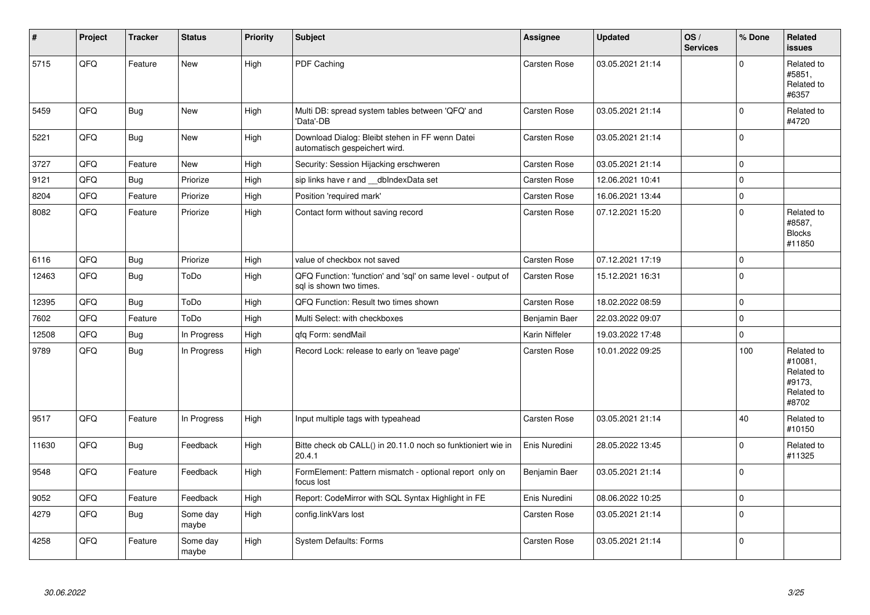| $\pmb{\sharp}$ | Project | <b>Tracker</b> | <b>Status</b>     | <b>Priority</b> | <b>Subject</b>                                                                          | Assignee            | <b>Updated</b>   | OS/<br><b>Services</b> | % Done      | Related<br><b>issues</b>                                             |
|----------------|---------|----------------|-------------------|-----------------|-----------------------------------------------------------------------------------------|---------------------|------------------|------------------------|-------------|----------------------------------------------------------------------|
| 5715           | QFQ     | Feature        | New               | High            | PDF Caching                                                                             | <b>Carsten Rose</b> | 03.05.2021 21:14 |                        | $\Omega$    | Related to<br>#5851,<br>Related to<br>#6357                          |
| 5459           | QFQ     | Bug            | <b>New</b>        | High            | Multi DB: spread system tables between 'QFQ' and<br>'Data'-DB                           | Carsten Rose        | 03.05.2021 21:14 |                        | $\mathbf 0$ | Related to<br>#4720                                                  |
| 5221           | QFQ     | Bug            | New               | High            | Download Dialog: Bleibt stehen in FF wenn Datei<br>automatisch gespeichert wird.        | <b>Carsten Rose</b> | 03.05.2021 21:14 |                        | $\mathbf 0$ |                                                                      |
| 3727           | QFQ     | Feature        | New               | High            | Security: Session Hijacking erschweren                                                  | Carsten Rose        | 03.05.2021 21:14 |                        | $\Omega$    |                                                                      |
| 9121           | QFQ     | <b>Bug</b>     | Priorize          | High            | sip links have r and __dbIndexData set                                                  | <b>Carsten Rose</b> | 12.06.2021 10:41 |                        | $\mathbf 0$ |                                                                      |
| 8204           | QFQ     | Feature        | Priorize          | High            | Position 'required mark'                                                                | <b>Carsten Rose</b> | 16.06.2021 13:44 |                        | $\mathbf 0$ |                                                                      |
| 8082           | QFQ     | Feature        | Priorize          | High            | Contact form without saving record                                                      | <b>Carsten Rose</b> | 07.12.2021 15:20 |                        | $\mathbf 0$ | Related to<br>#8587,<br><b>Blocks</b><br>#11850                      |
| 6116           | QFQ     | Bug            | Priorize          | High            | value of checkbox not saved                                                             | <b>Carsten Rose</b> | 07.12.2021 17:19 |                        | 0           |                                                                      |
| 12463          | QFQ     | Bug            | ToDo              | High            | QFQ Function: 'function' and 'sql' on same level - output of<br>sal is shown two times. | Carsten Rose        | 15.12.2021 16:31 |                        | $\Omega$    |                                                                      |
| 12395          | QFQ     | <b>Bug</b>     | ToDo              | High            | QFQ Function: Result two times shown                                                    | <b>Carsten Rose</b> | 18.02.2022 08:59 |                        | $\mathbf 0$ |                                                                      |
| 7602           | QFQ     | Feature        | ToDo              | High            | Multi Select: with checkboxes                                                           | Benjamin Baer       | 22.03.2022 09:07 |                        | $\mathbf 0$ |                                                                      |
| 12508          | QFQ     | <b>Bug</b>     | In Progress       | High            | gfg Form: sendMail                                                                      | Karin Niffeler      | 19.03.2022 17:48 |                        | $\mathbf 0$ |                                                                      |
| 9789           | QFQ     | Bug            | In Progress       | High            | Record Lock: release to early on 'leave page'                                           | <b>Carsten Rose</b> | 10.01.2022 09:25 |                        | 100         | Related to<br>#10081,<br>Related to<br>#9173.<br>Related to<br>#8702 |
| 9517           | QFQ     | Feature        | In Progress       | High            | Input multiple tags with typeahead                                                      | Carsten Rose        | 03.05.2021 21:14 |                        | 40          | Related to<br>#10150                                                 |
| 11630          | QFQ     | Bug            | Feedback          | High            | Bitte check ob CALL() in 20.11.0 noch so funktioniert wie in<br>20.4.1                  | Enis Nuredini       | 28.05.2022 13:45 |                        | $\Omega$    | Related to<br>#11325                                                 |
| 9548           | QFQ     | Feature        | Feedback          | High            | FormElement: Pattern mismatch - optional report only on<br>focus lost                   | Benjamin Baer       | 03.05.2021 21:14 |                        | $\Omega$    |                                                                      |
| 9052           | QFQ     | Feature        | Feedback          | High            | Report: CodeMirror with SQL Syntax Highlight in FE                                      | Enis Nuredini       | 08.06.2022 10:25 |                        | $\mathbf 0$ |                                                                      |
| 4279           | QFQ     | <b>Bug</b>     | Some day<br>maybe | High            | config.linkVars lost                                                                    | Carsten Rose        | 03.05.2021 21:14 |                        | $\Omega$    |                                                                      |
| 4258           | QFQ     | Feature        | Some day<br>maybe | High            | <b>System Defaults: Forms</b>                                                           | Carsten Rose        | 03.05.2021 21:14 |                        | $\Omega$    |                                                                      |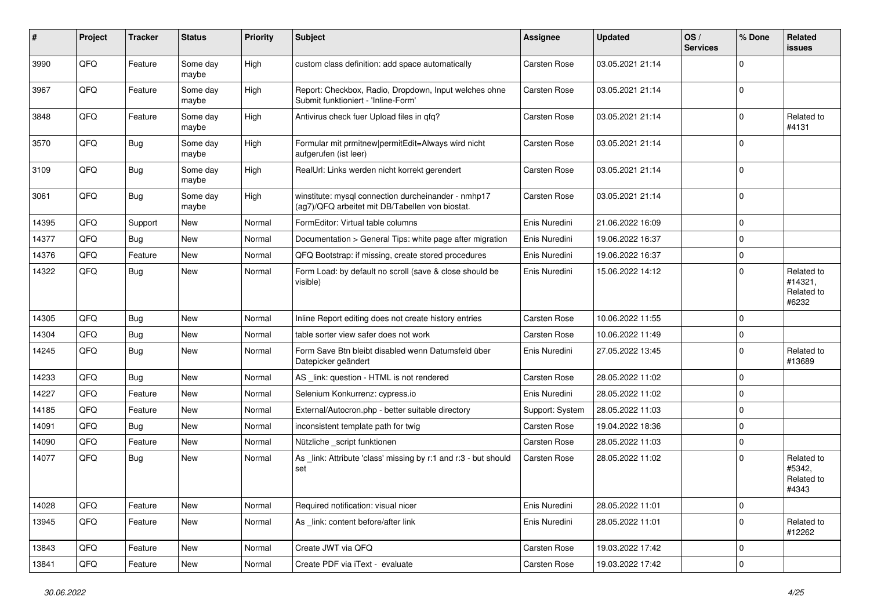| #     | Project | <b>Tracker</b> | <b>Status</b>     | <b>Priority</b> | Subject                                                                                                | Assignee            | <b>Updated</b>   | OS/<br><b>Services</b> | % Done      | Related<br>issues                            |
|-------|---------|----------------|-------------------|-----------------|--------------------------------------------------------------------------------------------------------|---------------------|------------------|------------------------|-------------|----------------------------------------------|
| 3990  | QFQ     | Feature        | Some day<br>maybe | High            | custom class definition: add space automatically                                                       | <b>Carsten Rose</b> | 03.05.2021 21:14 |                        | $\mathbf 0$ |                                              |
| 3967  | QFQ     | Feature        | Some day<br>maybe | High            | Report: Checkbox, Radio, Dropdown, Input welches ohne<br>Submit funktioniert - 'Inline-Form'           | Carsten Rose        | 03.05.2021 21:14 |                        | $\mathbf 0$ |                                              |
| 3848  | QFQ     | Feature        | Some dav<br>maybe | High            | Antivirus check fuer Upload files in qfq?                                                              | Carsten Rose        | 03.05.2021 21:14 |                        | 0           | Related to<br>#4131                          |
| 3570  | QFQ     | <b>Bug</b>     | Some day<br>maybe | High            | Formular mit prmitnew   permitEdit=Always wird nicht<br>aufgerufen (ist leer)                          | Carsten Rose        | 03.05.2021 21:14 |                        | $\mathbf 0$ |                                              |
| 3109  | QFQ     | <b>Bug</b>     | Some day<br>maybe | High            | RealUrl: Links werden nicht korrekt gerendert                                                          | Carsten Rose        | 03.05.2021 21:14 |                        | $\mathbf 0$ |                                              |
| 3061  | QFQ     | <b>Bug</b>     | Some day<br>maybe | High            | winstitute: mysql connection durcheinander - nmhp17<br>(ag7)/QFQ arbeitet mit DB/Tabellen von biostat. | Carsten Rose        | 03.05.2021 21:14 |                        | $\Omega$    |                                              |
| 14395 | QFQ     | Support        | New               | Normal          | FormEditor: Virtual table columns                                                                      | Enis Nuredini       | 21.06.2022 16:09 |                        | $\Omega$    |                                              |
| 14377 | QFQ     | Bug            | New               | Normal          | Documentation > General Tips: white page after migration                                               | Enis Nuredini       | 19.06.2022 16:37 |                        | 0           |                                              |
| 14376 | QFQ     | Feature        | New               | Normal          | QFQ Bootstrap: if missing, create stored procedures                                                    | Enis Nuredini       | 19.06.2022 16:37 |                        | 0           |                                              |
| 14322 | QFQ     | <b>Bug</b>     | New               | Normal          | Form Load: by default no scroll (save & close should be<br>visible)                                    | Enis Nuredini       | 15.06.2022 14:12 |                        | 0           | Related to<br>#14321,<br>Related to<br>#6232 |
| 14305 | QFQ     | <b>Bug</b>     | <b>New</b>        | Normal          | Inline Report editing does not create history entries                                                  | <b>Carsten Rose</b> | 10.06.2022 11:55 |                        | $\Omega$    |                                              |
| 14304 | QFQ     | <b>Bug</b>     | New               | Normal          | table sorter view safer does not work                                                                  | <b>Carsten Rose</b> | 10.06.2022 11:49 |                        | $\mathbf 0$ |                                              |
| 14245 | QFQ     | Bug            | New               | Normal          | Form Save Btn bleibt disabled wenn Datumsfeld über<br>Datepicker geändert                              | Enis Nuredini       | 27.05.2022 13:45 |                        | 0           | Related to<br>#13689                         |
| 14233 | QFQ     | Bug            | <b>New</b>        | Normal          | AS _link: question - HTML is not rendered                                                              | Carsten Rose        | 28.05.2022 11:02 |                        | 0           |                                              |
| 14227 | QFQ     | Feature        | New               | Normal          | Selenium Konkurrenz: cypress.io                                                                        | Enis Nuredini       | 28.05.2022 11:02 |                        | $\mathbf 0$ |                                              |
| 14185 | QFQ     | Feature        | New               | Normal          | External/Autocron.php - better suitable directory                                                      | Support: System     | 28.05.2022 11:03 |                        | $\mathbf 0$ |                                              |
| 14091 | QFQ     | Bug            | New               | Normal          | inconsistent template path for twig                                                                    | Carsten Rose        | 19.04.2022 18:36 |                        | 0           |                                              |
| 14090 | QFQ     | Feature        | New               | Normal          | Nützliche _script funktionen                                                                           | Carsten Rose        | 28.05.2022 11:03 |                        | 0           |                                              |
| 14077 | QFQ     | Bug            | New               | Normal          | As link: Attribute 'class' missing by r:1 and r:3 - but should<br>set                                  | Carsten Rose        | 28.05.2022 11:02 |                        | $\mathbf 0$ | Related to<br>#5342,<br>Related to<br>#4343  |
| 14028 | QFQ     | Feature        | New               | Normal          | Required notification: visual nicer                                                                    | Enis Nuredini       | 28.05.2022 11:01 |                        | 0           |                                              |
| 13945 | QFQ     | Feature        | New               | Normal          | As _link: content before/after link                                                                    | Enis Nuredini       | 28.05.2022 11:01 |                        | $\mathbf 0$ | Related to<br>#12262                         |
| 13843 | QFQ     | Feature        | New               | Normal          | Create JWT via QFQ                                                                                     | Carsten Rose        | 19.03.2022 17:42 |                        | 0           |                                              |
| 13841 | QFQ     | Feature        | New               | Normal          | Create PDF via iText - evaluate                                                                        | Carsten Rose        | 19.03.2022 17:42 |                        | 0           |                                              |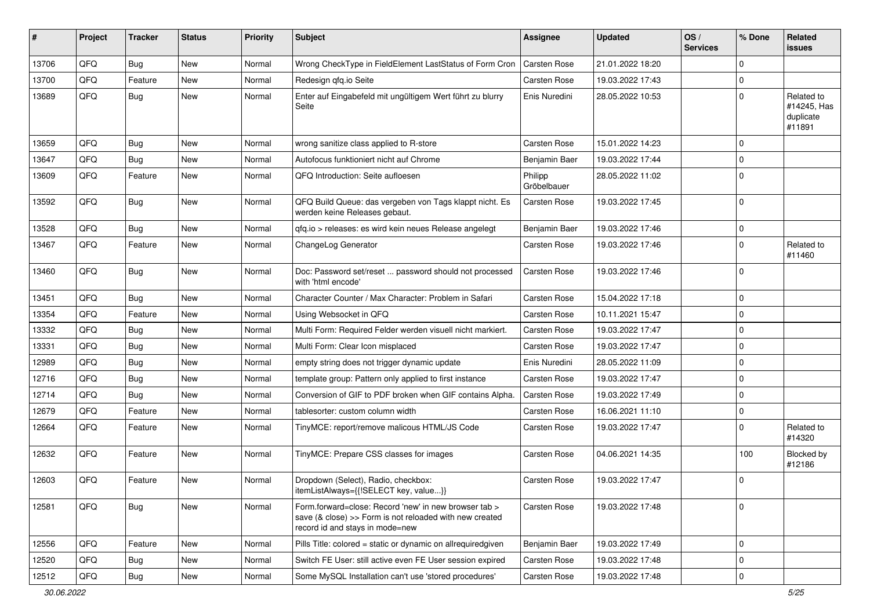| #     | Project | <b>Tracker</b> | <b>Status</b> | <b>Priority</b> | <b>Subject</b>                                                                                                                                      | <b>Assignee</b>        | <b>Updated</b>   | OS/<br><b>Services</b> | % Done       | Related<br>issues                                |
|-------|---------|----------------|---------------|-----------------|-----------------------------------------------------------------------------------------------------------------------------------------------------|------------------------|------------------|------------------------|--------------|--------------------------------------------------|
| 13706 | QFQ     | <b>Bug</b>     | <b>New</b>    | Normal          | Wrong CheckType in FieldElement LastStatus of Form Cron                                                                                             | Carsten Rose           | 21.01.2022 18:20 |                        | $\Omega$     |                                                  |
| 13700 | QFQ     | Feature        | <b>New</b>    | Normal          | Redesign gfg.io Seite                                                                                                                               | Carsten Rose           | 19.03.2022 17:43 |                        | $\pmb{0}$    |                                                  |
| 13689 | QFQ     | <b>Bug</b>     | New           | Normal          | Enter auf Eingabefeld mit ungültigem Wert führt zu blurry<br>Seite                                                                                  | Enis Nuredini          | 28.05.2022 10:53 |                        | $\mathbf 0$  | Related to<br>#14245, Has<br>duplicate<br>#11891 |
| 13659 | QFQ     | <b>Bug</b>     | <b>New</b>    | Normal          | wrong sanitize class applied to R-store                                                                                                             | Carsten Rose           | 15.01.2022 14:23 |                        | $\mathbf 0$  |                                                  |
| 13647 | QFQ     | <b>Bug</b>     | <b>New</b>    | Normal          | Autofocus funktioniert nicht auf Chrome                                                                                                             | Benjamin Baer          | 19.03.2022 17:44 |                        | $\mathbf 0$  |                                                  |
| 13609 | QFQ     | Feature        | <b>New</b>    | Normal          | QFQ Introduction: Seite aufloesen                                                                                                                   | Philipp<br>Gröbelbauer | 28.05.2022 11:02 |                        | $\mathbf 0$  |                                                  |
| 13592 | QFQ     | <b>Bug</b>     | <b>New</b>    | Normal          | QFQ Build Queue: das vergeben von Tags klappt nicht. Es<br>werden keine Releases gebaut.                                                            | Carsten Rose           | 19.03.2022 17:45 |                        | $\mathbf 0$  |                                                  |
| 13528 | QFQ     | <b>Bug</b>     | <b>New</b>    | Normal          | qfq.io > releases: es wird kein neues Release angelegt                                                                                              | Benjamin Baer          | 19.03.2022 17:46 |                        | $\pmb{0}$    |                                                  |
| 13467 | QFQ     | Feature        | New           | Normal          | ChangeLog Generator                                                                                                                                 | Carsten Rose           | 19.03.2022 17:46 |                        | $\mathbf 0$  | Related to<br>#11460                             |
| 13460 | QFQ     | <b>Bug</b>     | <b>New</b>    | Normal          | Doc: Password set/reset  password should not processed<br>with 'html encode'                                                                        | Carsten Rose           | 19.03.2022 17:46 |                        | $\mathbf 0$  |                                                  |
| 13451 | QFQ     | Bug            | <b>New</b>    | Normal          | Character Counter / Max Character: Problem in Safari                                                                                                | Carsten Rose           | 15.04.2022 17:18 |                        | $\mathbf 0$  |                                                  |
| 13354 | QFQ     | Feature        | <b>New</b>    | Normal          | Using Websocket in QFQ                                                                                                                              | Carsten Rose           | 10.11.2021 15:47 |                        | $\mathbf{0}$ |                                                  |
| 13332 | QFQ     | <b>Bug</b>     | <b>New</b>    | Normal          | Multi Form: Required Felder werden visuell nicht markiert.                                                                                          | Carsten Rose           | 19.03.2022 17:47 |                        | $\mathbf 0$  |                                                  |
| 13331 | QFQ     | <b>Bug</b>     | <b>New</b>    | Normal          | Multi Form: Clear Icon misplaced                                                                                                                    | Carsten Rose           | 19.03.2022 17:47 |                        | $\mathbf 0$  |                                                  |
| 12989 | QFQ     | <b>Bug</b>     | <b>New</b>    | Normal          | empty string does not trigger dynamic update                                                                                                        | Enis Nuredini          | 28.05.2022 11:09 |                        | $\mathbf 0$  |                                                  |
| 12716 | QFQ     | <b>Bug</b>     | <b>New</b>    | Normal          | template group: Pattern only applied to first instance                                                                                              | Carsten Rose           | 19.03.2022 17:47 |                        | $\mathbf 0$  |                                                  |
| 12714 | QFQ     | <b>Bug</b>     | <b>New</b>    | Normal          | Conversion of GIF to PDF broken when GIF contains Alpha.                                                                                            | Carsten Rose           | 19.03.2022 17:49 |                        | $\mathbf 0$  |                                                  |
| 12679 | QFQ     | Feature        | <b>New</b>    | Normal          | tablesorter: custom column width                                                                                                                    | Carsten Rose           | 16.06.2021 11:10 |                        | $\pmb{0}$    |                                                  |
| 12664 | QFQ     | Feature        | New           | Normal          | TinyMCE: report/remove malicous HTML/JS Code                                                                                                        | Carsten Rose           | 19.03.2022 17:47 |                        | $\mathbf 0$  | Related to<br>#14320                             |
| 12632 | QFQ     | Feature        | <b>New</b>    | Normal          | TinyMCE: Prepare CSS classes for images                                                                                                             | Carsten Rose           | 04.06.2021 14:35 |                        | 100          | Blocked by<br>#12186                             |
| 12603 | QFQ     | Feature        | New           | Normal          | Dropdown (Select), Radio, checkbox:<br>itemListAlways={{!SELECT key, value}}                                                                        | Carsten Rose           | 19.03.2022 17:47 |                        | 0            |                                                  |
| 12581 | QFQ     | Bug            | New           | Normal          | Form forward=close: Record 'new' in new browser tab ><br>save (& close) >> Form is not reloaded with new created<br>record id and stays in mode=new | Carsten Rose           | 19.03.2022 17:48 |                        | 0            |                                                  |
| 12556 | QFQ     | Feature        | New           | Normal          | Pills Title: colored = static or dynamic on allrequiredgiven                                                                                        | Benjamin Baer          | 19.03.2022 17:49 |                        | $\mathbf 0$  |                                                  |
| 12520 | QFQ     | <b>Bug</b>     | New           | Normal          | Switch FE User: still active even FE User session expired                                                                                           | Carsten Rose           | 19.03.2022 17:48 |                        | $\pmb{0}$    |                                                  |
| 12512 | QFQ     | <b>Bug</b>     | New           | Normal          | Some MySQL Installation can't use 'stored procedures'                                                                                               | Carsten Rose           | 19.03.2022 17:48 |                        | $\pmb{0}$    |                                                  |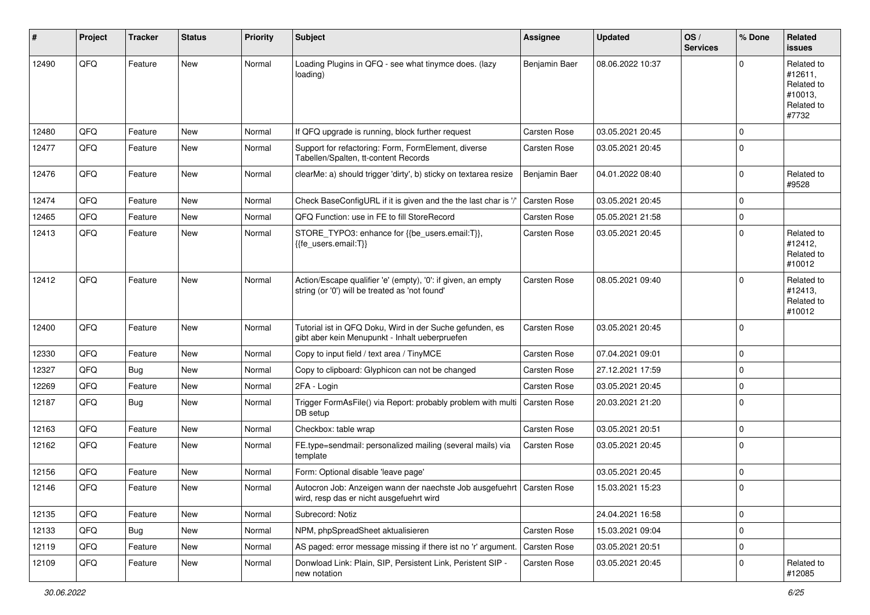| #     | Project | <b>Tracker</b> | <b>Status</b> | <b>Priority</b> | <b>Subject</b>                                                                                                      | <b>Assignee</b>     | <b>Updated</b>   | OS/<br><b>Services</b> | % Done      | Related<br>issues                                                     |
|-------|---------|----------------|---------------|-----------------|---------------------------------------------------------------------------------------------------------------------|---------------------|------------------|------------------------|-------------|-----------------------------------------------------------------------|
| 12490 | QFQ     | Feature        | <b>New</b>    | Normal          | Loading Plugins in QFQ - see what tinymce does. (lazy<br>loading)                                                   | Benjamin Baer       | 08.06.2022 10:37 |                        | 0           | Related to<br>#12611,<br>Related to<br>#10013,<br>Related to<br>#7732 |
| 12480 | QFQ     | Feature        | <b>New</b>    | Normal          | If QFQ upgrade is running, block further request                                                                    | <b>Carsten Rose</b> | 03.05.2021 20:45 |                        | 0           |                                                                       |
| 12477 | QFQ     | Feature        | New           | Normal          | Support for refactoring: Form, FormElement, diverse<br>Tabellen/Spalten, tt-content Records                         | Carsten Rose        | 03.05.2021 20:45 |                        | 0           |                                                                       |
| 12476 | QFQ     | Feature        | <b>New</b>    | Normal          | clearMe: a) should trigger 'dirty', b) sticky on textarea resize                                                    | Benjamin Baer       | 04.01.2022 08:40 |                        | 0           | Related to<br>#9528                                                   |
| 12474 | QFQ     | Feature        | <b>New</b>    | Normal          | Check BaseConfigURL if it is given and the the last char is '/'                                                     | Carsten Rose        | 03.05.2021 20:45 |                        | 0           |                                                                       |
| 12465 | QFQ     | Feature        | <b>New</b>    | Normal          | QFQ Function: use in FE to fill StoreRecord                                                                         | <b>Carsten Rose</b> | 05.05.2021 21:58 |                        | 0           |                                                                       |
| 12413 | QFQ     | Feature        | New           | Normal          | STORE_TYPO3: enhance for {{be_users.email:T}},<br>{{fe_users.email:T}}                                              | Carsten Rose        | 03.05.2021 20:45 |                        | 0           | Related to<br>#12412,<br>Related to<br>#10012                         |
| 12412 | QFQ     | Feature        | <b>New</b>    | Normal          | Action/Escape qualifier 'e' (empty), '0': if given, an empty<br>string (or '0') will be treated as 'not found'      | Carsten Rose        | 08.05.2021 09:40 |                        | 0           | Related to<br>#12413,<br>Related to<br>#10012                         |
| 12400 | QFQ     | Feature        | <b>New</b>    | Normal          | Tutorial ist in QFQ Doku, Wird in der Suche gefunden, es<br>gibt aber kein Menupunkt - Inhalt ueberpruefen          | Carsten Rose        | 03.05.2021 20:45 |                        | 0           |                                                                       |
| 12330 | QFQ     | Feature        | <b>New</b>    | Normal          | Copy to input field / text area / TinyMCE                                                                           | Carsten Rose        | 07.04.2021 09:01 |                        | 0           |                                                                       |
| 12327 | QFQ     | <b>Bug</b>     | <b>New</b>    | Normal          | Copy to clipboard: Glyphicon can not be changed                                                                     | <b>Carsten Rose</b> | 27.12.2021 17:59 |                        | 0           |                                                                       |
| 12269 | QFQ     | Feature        | <b>New</b>    | Normal          | 2FA - Login                                                                                                         | <b>Carsten Rose</b> | 03.05.2021 20:45 |                        | 0           |                                                                       |
| 12187 | QFQ     | <b>Bug</b>     | New           | Normal          | Trigger FormAsFile() via Report: probably problem with multi<br>DB setup                                            | Carsten Rose        | 20.03.2021 21:20 |                        | 0           |                                                                       |
| 12163 | QFQ     | Feature        | <b>New</b>    | Normal          | Checkbox: table wrap                                                                                                | Carsten Rose        | 03.05.2021 20:51 |                        | 0           |                                                                       |
| 12162 | QFQ     | Feature        | New           | Normal          | FE.type=sendmail: personalized mailing (several mails) via<br>template                                              | Carsten Rose        | 03.05.2021 20:45 |                        | 0           |                                                                       |
| 12156 | QFQ     | Feature        | New           | Normal          | Form: Optional disable 'leave page'                                                                                 |                     | 03.05.2021 20:45 |                        | 0           |                                                                       |
| 12146 | QFQ     | Feature        | New           | Normal          | Autocron Job: Anzeigen wann der naechste Job ausgefuehrt   Carsten Rose<br>wird, resp das er nicht ausgefuehrt wird |                     | 15.03.2021 15:23 |                        | $\Omega$    |                                                                       |
| 12135 | QFQ     | Feature        | New           | Normal          | Subrecord: Notiz                                                                                                    |                     | 24.04.2021 16:58 |                        | 0           |                                                                       |
| 12133 | QFQ     | Bug            | New           | Normal          | NPM, phpSpreadSheet aktualisieren                                                                                   | Carsten Rose        | 15.03.2021 09:04 |                        | $\mathbf 0$ |                                                                       |
| 12119 | QFQ     | Feature        | New           | Normal          | AS paged: error message missing if there ist no 'r' argument.                                                       | Carsten Rose        | 03.05.2021 20:51 |                        | 0           |                                                                       |
| 12109 | QFQ     | Feature        | New           | Normal          | Donwload Link: Plain, SIP, Persistent Link, Peristent SIP -<br>new notation                                         | Carsten Rose        | 03.05.2021 20:45 |                        | 0           | Related to<br>#12085                                                  |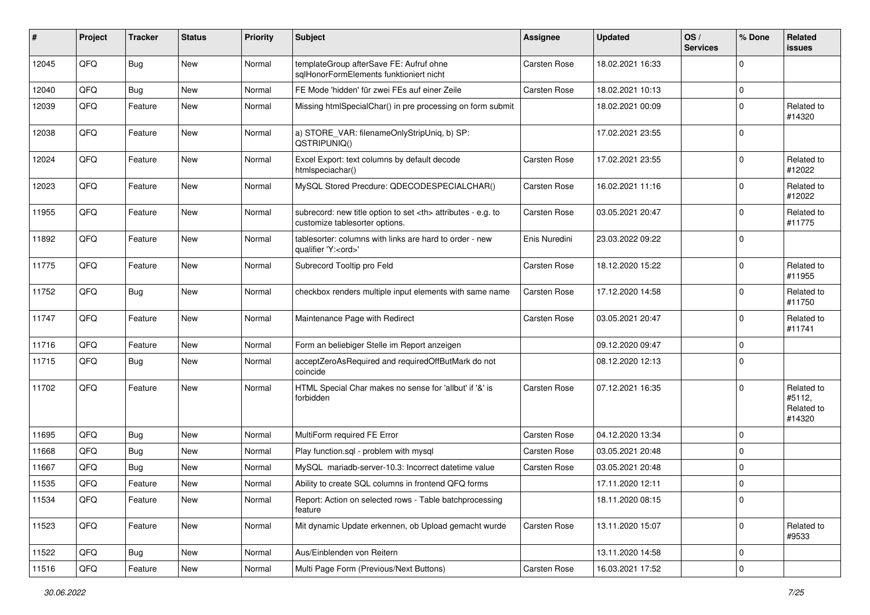| $\sharp$ | Project | <b>Tracker</b> | <b>Status</b> | <b>Priority</b> | <b>Subject</b>                                                                                       | <b>Assignee</b>                                        | <b>Updated</b>   | OS/<br><b>Services</b> | % Done      | Related<br><b>issues</b>                     |                      |
|----------|---------|----------------|---------------|-----------------|------------------------------------------------------------------------------------------------------|--------------------------------------------------------|------------------|------------------------|-------------|----------------------------------------------|----------------------|
| 12045    | QFQ     | <b>Bug</b>     | New           | Normal          | templateGroup afterSave FE: Aufruf ohne<br>sqlHonorFormElements funktioniert nicht                   | Carsten Rose                                           | 18.02.2021 16:33 |                        | $\Omega$    |                                              |                      |
| 12040    | QFQ     | <b>Bug</b>     | <b>New</b>    | Normal          | FE Mode 'hidden' für zwei FEs auf einer Zeile                                                        | <b>Carsten Rose</b>                                    | 18.02.2021 10:13 |                        | 0           |                                              |                      |
| 12039    | QFQ     | Feature        | <b>New</b>    | Normal          | Missing htmlSpecialChar() in pre processing on form submit                                           |                                                        | 18.02.2021 00:09 |                        | $\mathbf 0$ | Related to<br>#14320                         |                      |
| 12038    | QFQ     | Feature        | <b>New</b>    | Normal          | a) STORE_VAR: filenameOnlyStripUniq, b) SP:<br>QSTRIPUNIQ()                                          |                                                        | 17.02.2021 23:55 |                        | $\mathbf 0$ |                                              |                      |
| 12024    | QFQ     | Feature        | <b>New</b>    | Normal          | Excel Export: text columns by default decode<br>htmlspeciachar()                                     | Carsten Rose                                           | 17.02.2021 23:55 |                        | $\Omega$    | Related to<br>#12022                         |                      |
| 12023    | QFQ     | Feature        | New           | Normal          | MySQL Stored Precdure: QDECODESPECIALCHAR()                                                          | <b>Carsten Rose</b>                                    | 16.02.2021 11:16 |                        | $\mathbf 0$ | Related to<br>#12022                         |                      |
| 11955    | QFQ     | Feature        | <b>New</b>    | Normal          | subrecord: new title option to set <th> attributes - e.g. to<br/>customize tablesorter options.</th> | attributes - e.g. to<br>customize tablesorter options. | Carsten Rose     | 03.05.2021 20:47       |             | $\mathbf 0$                                  | Related to<br>#11775 |
| 11892    | QFQ     | Feature        | New           | Normal          | tablesorter: columns with links are hard to order - new<br>qualifier 'Y: <ord>'</ord>                | Enis Nuredini                                          | 23.03.2022 09:22 |                        | $\mathbf 0$ |                                              |                      |
| 11775    | QFQ     | Feature        | New           | Normal          | Subrecord Tooltip pro Feld                                                                           | <b>Carsten Rose</b>                                    | 18.12.2020 15:22 |                        | 0           | Related to<br>#11955                         |                      |
| 11752    | QFQ     | <b>Bug</b>     | New           | Normal          | checkbox renders multiple input elements with same name                                              | Carsten Rose                                           | 17.12.2020 14:58 |                        | $\mathbf 0$ | Related to<br>#11750                         |                      |
| 11747    | QFQ     | Feature        | New           | Normal          | Maintenance Page with Redirect                                                                       | Carsten Rose                                           | 03.05.2021 20:47 |                        | $\mathbf 0$ | Related to<br>#11741                         |                      |
| 11716    | QFQ     | Feature        | New           | Normal          | Form an beliebiger Stelle im Report anzeigen                                                         |                                                        | 09.12.2020 09:47 |                        | 0           |                                              |                      |
| 11715    | QFQ     | <b>Bug</b>     | <b>New</b>    | Normal          | acceptZeroAsRequired and requiredOffButMark do not<br>coincide                                       |                                                        | 08.12.2020 12:13 |                        | $\mathbf 0$ |                                              |                      |
| 11702    | QFQ     | Feature        | <b>New</b>    | Normal          | HTML Special Char makes no sense for 'allbut' if '&' is<br>forbidden                                 | <b>Carsten Rose</b>                                    | 07.12.2021 16:35 |                        | $\mathbf 0$ | Related to<br>#5112,<br>Related to<br>#14320 |                      |
| 11695    | QFQ     | <b>Bug</b>     | <b>New</b>    | Normal          | MultiForm required FE Error                                                                          | <b>Carsten Rose</b>                                    | 04.12.2020 13:34 |                        | $\mathbf 0$ |                                              |                      |
| 11668    | QFQ     | <b>Bug</b>     | <b>New</b>    | Normal          | Play function.sql - problem with mysql                                                               | Carsten Rose                                           | 03.05.2021 20:48 |                        | 0           |                                              |                      |
| 11667    | QFQ     | <b>Bug</b>     | <b>New</b>    | Normal          | MySQL mariadb-server-10.3: Incorrect datetime value                                                  | Carsten Rose                                           | 03.05.2021 20:48 |                        | $\mathbf 0$ |                                              |                      |
| 11535    | QFQ     | Feature        | New           | Normal          | Ability to create SQL columns in frontend QFQ forms                                                  |                                                        | 17.11.2020 12:11 |                        | $\mathbf 0$ |                                              |                      |
| 11534    | QFG     | Feature        | New           | Normal          | Report: Action on selected rows - Table batchprocessing<br>feature                                   |                                                        | 18.11.2020 08:15 |                        | 0           |                                              |                      |
| 11523    | QFQ     | Feature        | New           | Normal          | Mit dynamic Update erkennen, ob Upload gemacht wurde                                                 | Carsten Rose                                           | 13.11.2020 15:07 |                        | $\mathbf 0$ | Related to<br>#9533                          |                      |
| 11522    | QFQ     | <b>Bug</b>     | <b>New</b>    | Normal          | Aus/Einblenden von Reitern                                                                           |                                                        | 13.11.2020 14:58 |                        | $\mathbf 0$ |                                              |                      |
| 11516    | QFG     | Feature        | New           | Normal          | Multi Page Form (Previous/Next Buttons)                                                              | Carsten Rose                                           | 16.03.2021 17:52 |                        | 0           |                                              |                      |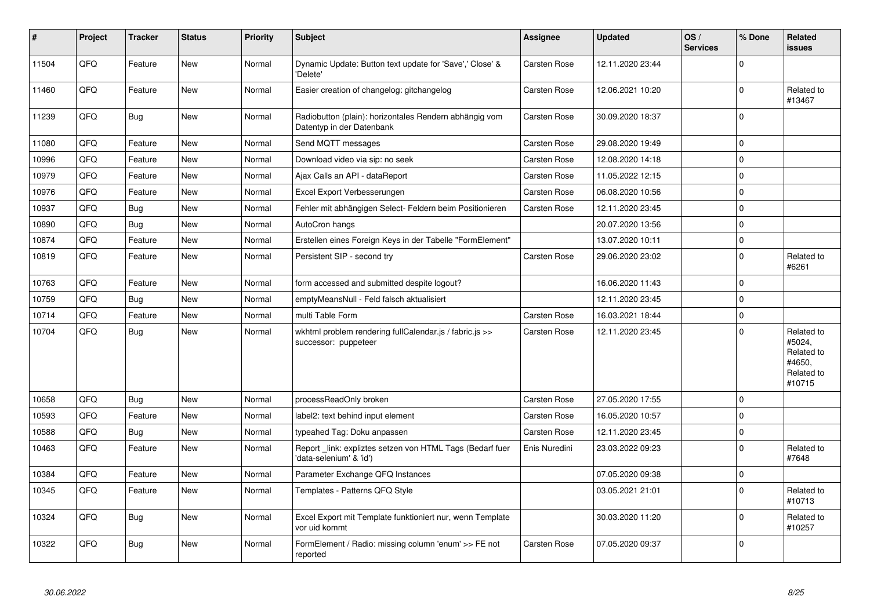| $\sharp$ | Project | <b>Tracker</b> | <b>Status</b> | <b>Priority</b> | <b>Subject</b>                                                                      | Assignee      | <b>Updated</b>   | OS/<br><b>Services</b> | % Done      | <b>Related</b><br>issues                                             |
|----------|---------|----------------|---------------|-----------------|-------------------------------------------------------------------------------------|---------------|------------------|------------------------|-------------|----------------------------------------------------------------------|
| 11504    | QFQ     | Feature        | <b>New</b>    | Normal          | Dynamic Update: Button text update for 'Save',' Close' &<br>'Delete'                | Carsten Rose  | 12.11.2020 23:44 |                        | $\Omega$    |                                                                      |
| 11460    | QFQ     | Feature        | <b>New</b>    | Normal          | Easier creation of changelog: gitchangelog                                          | Carsten Rose  | 12.06.2021 10:20 |                        | $\pmb{0}$   | Related to<br>#13467                                                 |
| 11239    | QFQ     | <b>Bug</b>     | New           | Normal          | Radiobutton (plain): horizontales Rendern abhängig vom<br>Datentyp in der Datenbank | Carsten Rose  | 30.09.2020 18:37 |                        | $\Omega$    |                                                                      |
| 11080    | QFQ     | Feature        | <b>New</b>    | Normal          | Send MQTT messages                                                                  | Carsten Rose  | 29.08.2020 19:49 |                        | $\mathbf 0$ |                                                                      |
| 10996    | QFQ     | Feature        | <b>New</b>    | Normal          | Download video via sip: no seek                                                     | Carsten Rose  | 12.08.2020 14:18 |                        | $\Omega$    |                                                                      |
| 10979    | QFQ     | Feature        | <b>New</b>    | Normal          | Ajax Calls an API - dataReport                                                      | Carsten Rose  | 11.05.2022 12:15 |                        | $\mathbf 0$ |                                                                      |
| 10976    | QFQ     | Feature        | <b>New</b>    | Normal          | Excel Export Verbesserungen                                                         | Carsten Rose  | 06.08.2020 10:56 |                        | $\Omega$    |                                                                      |
| 10937    | QFQ     | <b>Bug</b>     | <b>New</b>    | Normal          | Fehler mit abhängigen Select- Feldern beim Positionieren                            | Carsten Rose  | 12.11.2020 23:45 |                        | 0           |                                                                      |
| 10890    | QFQ     | <b>Bug</b>     | <b>New</b>    | Normal          | AutoCron hangs                                                                      |               | 20.07.2020 13:56 |                        | $\Omega$    |                                                                      |
| 10874    | QFQ     | Feature        | <b>New</b>    | Normal          | Erstellen eines Foreign Keys in der Tabelle "FormElement"                           |               | 13.07.2020 10:11 |                        | 0           |                                                                      |
| 10819    | QFQ     | Feature        | <b>New</b>    | Normal          | Persistent SIP - second try                                                         | Carsten Rose  | 29.06.2020 23:02 |                        | $\Omega$    | Related to<br>#6261                                                  |
| 10763    | QFQ     | Feature        | <b>New</b>    | Normal          | form accessed and submitted despite logout?                                         |               | 16.06.2020 11:43 |                        | $\Omega$    |                                                                      |
| 10759    | QFQ     | Bug            | <b>New</b>    | Normal          | emptyMeansNull - Feld falsch aktualisiert                                           |               | 12.11.2020 23:45 |                        | $\Omega$    |                                                                      |
| 10714    | QFQ     | Feature        | <b>New</b>    | Normal          | multi Table Form                                                                    | Carsten Rose  | 16.03.2021 18:44 |                        | 0           |                                                                      |
| 10704    | QFQ     | <b>Bug</b>     | <b>New</b>    | Normal          | wkhtml problem rendering fullCalendar.js / fabric.js >><br>successor: puppeteer     | Carsten Rose  | 12.11.2020 23:45 |                        | $\Omega$    | Related to<br>#5024,<br>Related to<br>#4650,<br>Related to<br>#10715 |
| 10658    | QFQ     | Bug            | <b>New</b>    | Normal          | processReadOnly broken                                                              | Carsten Rose  | 27.05.2020 17:55 |                        | $\Omega$    |                                                                      |
| 10593    | QFQ     | Feature        | <b>New</b>    | Normal          | label2: text behind input element                                                   | Carsten Rose  | 16.05.2020 10:57 |                        | $\Omega$    |                                                                      |
| 10588    | QFQ     | Bug            | <b>New</b>    | Normal          | typeahed Tag: Doku anpassen                                                         | Carsten Rose  | 12.11.2020 23:45 |                        | 0           |                                                                      |
| 10463    | QFQ     | Feature        | <b>New</b>    | Normal          | Report link: expliztes setzen von HTML Tags (Bedarf fuer<br>'data-selenium' & 'id') | Enis Nuredini | 23.03.2022 09:23 |                        | $\Omega$    | Related to<br>#7648                                                  |
| 10384    | QFQ     | Feature        | <b>New</b>    | Normal          | Parameter Exchange QFQ Instances                                                    |               | 07.05.2020 09:38 |                        | $\mathbf 0$ |                                                                      |
| 10345    | QFQ     | Feature        | <b>New</b>    | Normal          | Templates - Patterns QFQ Style                                                      |               | 03.05.2021 21:01 |                        | $\Omega$    | Related to<br>#10713                                                 |
| 10324    | QFQ     | <b>Bug</b>     | <b>New</b>    | Normal          | Excel Export mit Template funktioniert nur, wenn Template<br>vor uid kommt          |               | 30.03.2020 11:20 |                        | $\Omega$    | Related to<br>#10257                                                 |
| 10322    | QFQ     | <b>Bug</b>     | <b>New</b>    | Normal          | FormElement / Radio: missing column 'enum' >> FE not<br>reported                    | Carsten Rose  | 07.05.2020 09:37 |                        | $\mathbf 0$ |                                                                      |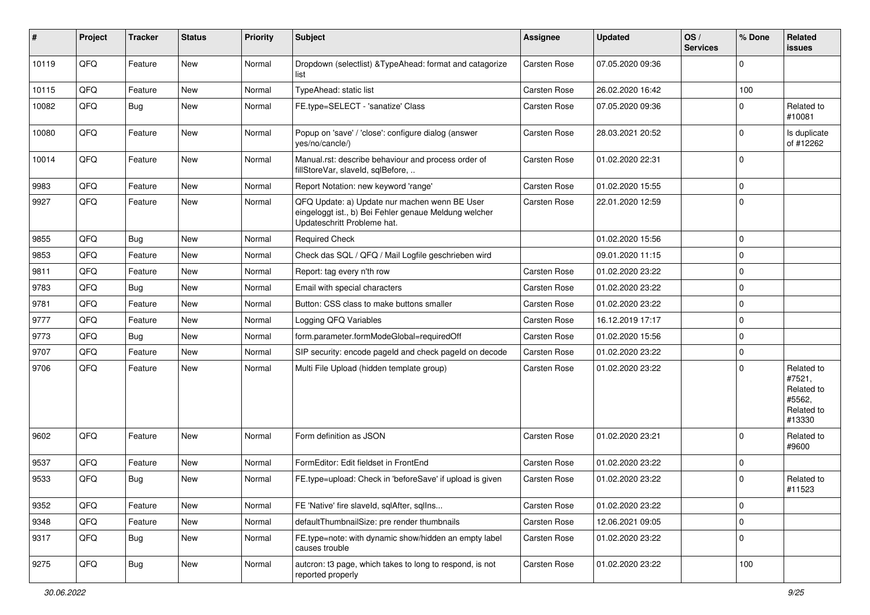| #     | Project | <b>Tracker</b> | <b>Status</b> | <b>Priority</b> | <b>Subject</b>                                                                                                                        | <b>Assignee</b> | <b>Updated</b>   | OS/<br><b>Services</b> | % Done      | Related<br>issues                                                    |
|-------|---------|----------------|---------------|-----------------|---------------------------------------------------------------------------------------------------------------------------------------|-----------------|------------------|------------------------|-------------|----------------------------------------------------------------------|
| 10119 | QFQ     | Feature        | <b>New</b>    | Normal          | Dropdown (selectlist) & TypeAhead: format and catagorize<br>list                                                                      | Carsten Rose    | 07.05.2020 09:36 |                        | $\Omega$    |                                                                      |
| 10115 | QFQ     | Feature        | <b>New</b>    | Normal          | TypeAhead: static list                                                                                                                | Carsten Rose    | 26.02.2020 16:42 |                        | 100         |                                                                      |
| 10082 | QFQ     | Bug            | New           | Normal          | FE.type=SELECT - 'sanatize' Class                                                                                                     | Carsten Rose    | 07.05.2020 09:36 |                        | $\Omega$    | Related to<br>#10081                                                 |
| 10080 | QFQ     | Feature        | New           | Normal          | Popup on 'save' / 'close': configure dialog (answer<br>ves/no/cancle/)                                                                | Carsten Rose    | 28.03.2021 20:52 |                        | $\Omega$    | Is duplicate<br>of #12262                                            |
| 10014 | QFQ     | Feature        | <b>New</b>    | Normal          | Manual.rst: describe behaviour and process order of<br>fillStoreVar, slaveId, sqlBefore,                                              | Carsten Rose    | 01.02.2020 22:31 |                        | $\Omega$    |                                                                      |
| 9983  | QFQ     | Feature        | <b>New</b>    | Normal          | Report Notation: new keyword 'range'                                                                                                  | Carsten Rose    | 01.02.2020 15:55 |                        | 0           |                                                                      |
| 9927  | QFQ     | Feature        | New           | Normal          | QFQ Update: a) Update nur machen wenn BE User<br>eingeloggt ist., b) Bei Fehler genaue Meldung welcher<br>Updateschritt Probleme hat. | Carsten Rose    | 22.01.2020 12:59 |                        | $\mathbf 0$ |                                                                      |
| 9855  | QFQ     | Bug            | <b>New</b>    | Normal          | <b>Required Check</b>                                                                                                                 |                 | 01.02.2020 15:56 |                        | $\mathbf 0$ |                                                                      |
| 9853  | QFQ     | Feature        | <b>New</b>    | Normal          | Check das SQL / QFQ / Mail Logfile geschrieben wird                                                                                   |                 | 09.01.2020 11:15 |                        | $\mathbf 0$ |                                                                      |
| 9811  | QFQ     | Feature        | <b>New</b>    | Normal          | Report: tag every n'th row                                                                                                            | Carsten Rose    | 01.02.2020 23:22 |                        | $\mathbf 0$ |                                                                      |
| 9783  | QFQ     | Bug            | <b>New</b>    | Normal          | Email with special characters                                                                                                         | Carsten Rose    | 01.02.2020 23:22 |                        | $\mathbf 0$ |                                                                      |
| 9781  | QFQ     | Feature        | New           | Normal          | Button: CSS class to make buttons smaller                                                                                             | Carsten Rose    | 01.02.2020 23:22 |                        | 0           |                                                                      |
| 9777  | QFQ     | Feature        | <b>New</b>    | Normal          | Logging QFQ Variables                                                                                                                 | Carsten Rose    | 16.12.2019 17:17 |                        | $\mathbf 0$ |                                                                      |
| 9773  | QFQ     | <b>Bug</b>     | <b>New</b>    | Normal          | form.parameter.formModeGlobal=requiredOff                                                                                             | Carsten Rose    | 01.02.2020 15:56 |                        | $\mathbf 0$ |                                                                      |
| 9707  | QFQ     | Feature        | <b>New</b>    | Normal          | SIP security: encode pageId and check pageId on decode                                                                                | Carsten Rose    | 01.02.2020 23:22 |                        | $\pmb{0}$   |                                                                      |
| 9706  | QFQ     | Feature        | New           | Normal          | Multi File Upload (hidden template group)                                                                                             | Carsten Rose    | 01.02.2020 23:22 |                        | $\Omega$    | Related to<br>#7521,<br>Related to<br>#5562,<br>Related to<br>#13330 |
| 9602  | QFQ     | Feature        | <b>New</b>    | Normal          | Form definition as JSON                                                                                                               | Carsten Rose    | 01.02.2020 23:21 |                        | $\Omega$    | Related to<br>#9600                                                  |
| 9537  | QFQ     | Feature        | <b>New</b>    | Normal          | FormEditor: Edit fieldset in FrontEnd                                                                                                 | Carsten Rose    | 01.02.2020 23:22 |                        | $\mathbf 0$ |                                                                      |
| 9533  | QFQ     | <b>Bug</b>     | <b>New</b>    | Normal          | FE.type=upload: Check in 'beforeSave' if upload is given                                                                              | Carsten Rose    | 01.02.2020 23:22 |                        | $\mathbf 0$ | Related to<br>#11523                                                 |
| 9352  | QFQ     | Feature        | New           | Normal          | FE 'Native' fire slaveld, sqlAfter, sqlIns                                                                                            | Carsten Rose    | 01.02.2020 23:22 |                        | $\mathbf 0$ |                                                                      |
| 9348  | QFQ     | Feature        | New           | Normal          | defaultThumbnailSize: pre render thumbnails                                                                                           | Carsten Rose    | 12.06.2021 09:05 |                        | $\mathbf 0$ |                                                                      |
| 9317  | QFQ     | Bug            | New           | Normal          | FE.type=note: with dynamic show/hidden an empty label<br>causes trouble                                                               | Carsten Rose    | 01.02.2020 23:22 |                        | 0           |                                                                      |
| 9275  | QFQ     | Bug            | New           | Normal          | autcron: t3 page, which takes to long to respond, is not<br>reported properly                                                         | Carsten Rose    | 01.02.2020 23:22 |                        | 100         |                                                                      |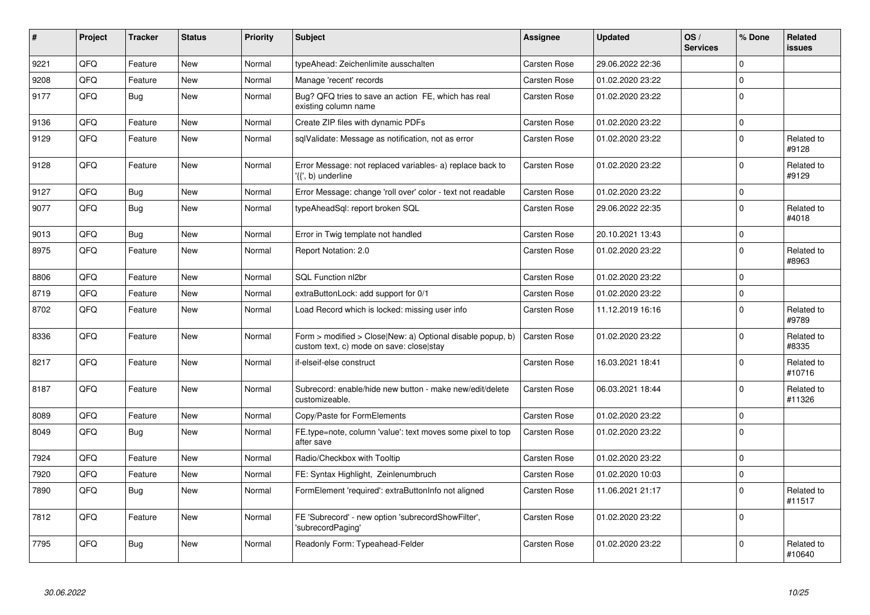| $\vert$ # | Project | <b>Tracker</b> | <b>Status</b> | <b>Priority</b> | <b>Subject</b>                                                                                         | Assignee            | <b>Updated</b>   | OS/<br><b>Services</b> | % Done         | <b>Related</b><br><b>issues</b> |
|-----------|---------|----------------|---------------|-----------------|--------------------------------------------------------------------------------------------------------|---------------------|------------------|------------------------|----------------|---------------------------------|
| 9221      | QFQ     | Feature        | <b>New</b>    | Normal          | typeAhead: Zeichenlimite ausschalten                                                                   | <b>Carsten Rose</b> | 29.06.2022 22:36 |                        | <sup>0</sup>   |                                 |
| 9208      | QFQ     | Feature        | New           | Normal          | Manage 'recent' records                                                                                | <b>Carsten Rose</b> | 01.02.2020 23:22 |                        | $\Omega$       |                                 |
| 9177      | QFQ     | Bug            | <b>New</b>    | Normal          | Bug? QFQ tries to save an action FE, which has real<br>existing column name                            | <b>Carsten Rose</b> | 01.02.2020 23:22 |                        | 0              |                                 |
| 9136      | QFQ     | Feature        | <b>New</b>    | Normal          | Create ZIP files with dynamic PDFs                                                                     | <b>Carsten Rose</b> | 01.02.2020 23:22 |                        | $\Omega$       |                                 |
| 9129      | QFQ     | Feature        | <b>New</b>    | Normal          | sqlValidate: Message as notification, not as error                                                     | Carsten Rose        | 01.02.2020 23:22 |                        | $\Omega$       | Related to<br>#9128             |
| 9128      | QFQ     | Feature        | <b>New</b>    | Normal          | Error Message: not replaced variables- a) replace back to<br>'{{', b) underline                        | Carsten Rose        | 01.02.2020 23:22 |                        | 0              | Related to<br>#9129             |
| 9127      | QFQ     | <b>Bug</b>     | <b>New</b>    | Normal          | Error Message: change 'roll over' color - text not readable                                            | <b>Carsten Rose</b> | 01.02.2020 23:22 |                        | $\mathbf 0$    |                                 |
| 9077      | QFQ     | Bug            | <b>New</b>    | Normal          | typeAheadSgl: report broken SQL                                                                        | <b>Carsten Rose</b> | 29.06.2022 22:35 |                        | 0              | Related to<br>#4018             |
| 9013      | QFQ     | <b>Bug</b>     | <b>New</b>    | Normal          | Error in Twig template not handled                                                                     | <b>Carsten Rose</b> | 20.10.2021 13:43 |                        | $\mathbf 0$    |                                 |
| 8975      | QFQ     | Feature        | New           | Normal          | Report Notation: 2.0                                                                                   | Carsten Rose        | 01.02.2020 23:22 |                        | $\overline{0}$ | Related to<br>#8963             |
| 8806      | QFQ     | Feature        | <b>New</b>    | Normal          | SQL Function nl2br                                                                                     | <b>Carsten Rose</b> | 01.02.2020 23:22 |                        | $\mathbf 0$    |                                 |
| 8719      | QFQ     | Feature        | <b>New</b>    | Normal          | extraButtonLock: add support for 0/1                                                                   | <b>Carsten Rose</b> | 01.02.2020 23:22 |                        | 0              |                                 |
| 8702      | QFQ     | Feature        | <b>New</b>    | Normal          | Load Record which is locked: missing user info                                                         | <b>Carsten Rose</b> | 11.12.2019 16:16 |                        | $\mathbf 0$    | Related to<br>#9789             |
| 8336      | QFQ     | Feature        | <b>New</b>    | Normal          | Form > modified > Close New: a) Optional disable popup, b)<br>custom text, c) mode on save: close stay | Carsten Rose        | 01.02.2020 23:22 |                        | 0              | Related to<br>#8335             |
| 8217      | QFQ     | Feature        | <b>New</b>    | Normal          | if-elseif-else construct                                                                               | <b>Carsten Rose</b> | 16.03.2021 18:41 |                        | 0              | Related to<br>#10716            |
| 8187      | QFQ     | Feature        | New           | Normal          | Subrecord: enable/hide new button - make new/edit/delete<br>customizeable.                             | Carsten Rose        | 06.03.2021 18:44 |                        | 0              | Related to<br>#11326            |
| 8089      | QFQ     | Feature        | <b>New</b>    | Normal          | Copy/Paste for FormElements                                                                            | Carsten Rose        | 01.02.2020 23:22 |                        | 0              |                                 |
| 8049      | QFQ     | <b>Bug</b>     | <b>New</b>    | Normal          | FE.type=note, column 'value': text moves some pixel to top<br>after save                               | <b>Carsten Rose</b> | 01.02.2020 23:22 |                        | $\mathbf 0$    |                                 |
| 7924      | QFQ     | Feature        | <b>New</b>    | Normal          | Radio/Checkbox with Tooltip                                                                            | Carsten Rose        | 01.02.2020 23:22 |                        | <sup>0</sup>   |                                 |
| 7920      | QFQ     | Feature        | <b>New</b>    | Normal          | FE: Syntax Highlight, Zeinlenumbruch                                                                   | <b>Carsten Rose</b> | 01.02.2020 10:03 |                        | 0              |                                 |
| 7890      | QFQ     | Bug            | New           | Normal          | FormElement 'required': extraButtonInfo not aligned                                                    | <b>Carsten Rose</b> | 11.06.2021 21:17 |                        | $\mathbf 0$    | Related to<br>#11517            |
| 7812      | QFQ     | Feature        | <b>New</b>    | Normal          | FE 'Subrecord' - new option 'subrecordShowFilter',<br>'subrecordPaging'                                | Carsten Rose        | 01.02.2020 23:22 |                        | $\overline{0}$ |                                 |
| 7795      | QFQ     | Bug            | <b>New</b>    | Normal          | Readonly Form: Typeahead-Felder                                                                        | <b>Carsten Rose</b> | 01.02.2020 23:22 |                        | 0              | Related to<br>#10640            |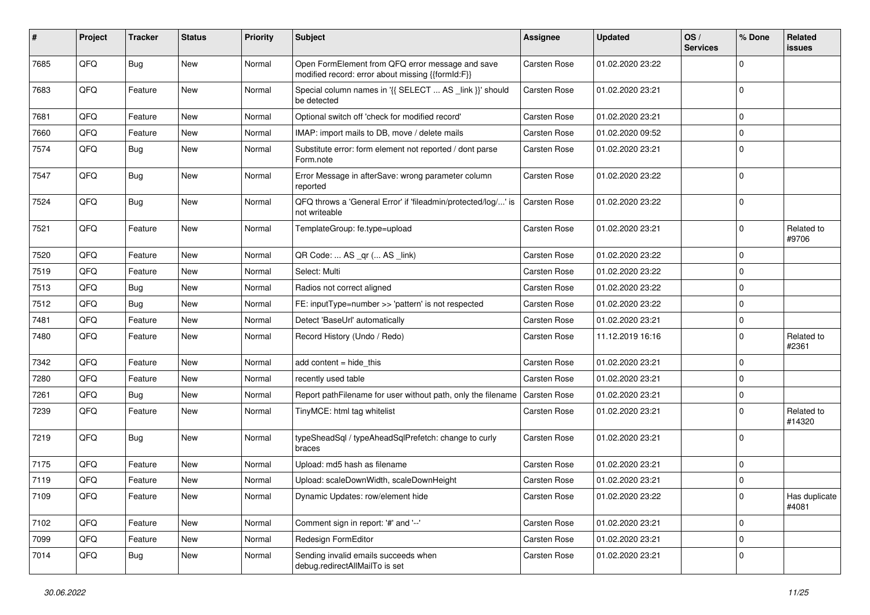| #    | Project | <b>Tracker</b> | <b>Status</b> | <b>Priority</b> | Subject                                                                                               | <b>Assignee</b> | <b>Updated</b>   | OS/<br><b>Services</b> | % Done      | Related<br>issues      |
|------|---------|----------------|---------------|-----------------|-------------------------------------------------------------------------------------------------------|-----------------|------------------|------------------------|-------------|------------------------|
| 7685 | QFQ     | Bug            | <b>New</b>    | Normal          | Open FormElement from QFQ error message and save<br>modified record: error about missing {{formId:F}} | Carsten Rose    | 01.02.2020 23:22 |                        | $\Omega$    |                        |
| 7683 | QFQ     | Feature        | New           | Normal          | Special column names in '{{ SELECT  AS _link }}' should<br>be detected                                | Carsten Rose    | 01.02.2020 23:21 |                        | 0           |                        |
| 7681 | QFQ     | Feature        | <b>New</b>    | Normal          | Optional switch off 'check for modified record'                                                       | Carsten Rose    | 01.02.2020 23:21 |                        | $\Omega$    |                        |
| 7660 | QFQ     | Feature        | New           | Normal          | IMAP: import mails to DB, move / delete mails                                                         | Carsten Rose    | 01.02.2020 09:52 |                        | $\mathbf 0$ |                        |
| 7574 | QFQ     | Bug            | <b>New</b>    | Normal          | Substitute error: form element not reported / dont parse<br>Form.note                                 | Carsten Rose    | 01.02.2020 23:21 |                        | $\Omega$    |                        |
| 7547 | QFQ     | Bug            | <b>New</b>    | Normal          | Error Message in afterSave: wrong parameter column<br>reported                                        | Carsten Rose    | 01.02.2020 23:22 |                        | $\Omega$    |                        |
| 7524 | QFQ     | <b>Bug</b>     | <b>New</b>    | Normal          | QFQ throws a 'General Error' if 'fileadmin/protected/log/' is<br>not writeable                        | Carsten Rose    | 01.02.2020 23:22 |                        | $\mathbf 0$ |                        |
| 7521 | QFQ     | Feature        | <b>New</b>    | Normal          | TemplateGroup: fe.type=upload                                                                         | Carsten Rose    | 01.02.2020 23:21 |                        | 0           | Related to<br>#9706    |
| 7520 | QFQ     | Feature        | <b>New</b>    | Normal          | QR Code:  AS _qr ( AS _link)                                                                          | Carsten Rose    | 01.02.2020 23:22 |                        | 0           |                        |
| 7519 | QFQ     | Feature        | New           | Normal          | Select: Multi                                                                                         | Carsten Rose    | 01.02.2020 23:22 |                        | $\Omega$    |                        |
| 7513 | QFQ     | <b>Bug</b>     | <b>New</b>    | Normal          | Radios not correct aligned                                                                            | Carsten Rose    | 01.02.2020 23:22 |                        | $\mathbf 0$ |                        |
| 7512 | QFQ     | Bug            | <b>New</b>    | Normal          | FE: inputType=number >> 'pattern' is not respected                                                    | Carsten Rose    | 01.02.2020 23:22 |                        | $\mathbf 0$ |                        |
| 7481 | QFQ     | Feature        | <b>New</b>    | Normal          | Detect 'BaseUrl' automatically                                                                        | Carsten Rose    | 01.02.2020 23:21 |                        | 0           |                        |
| 7480 | QFQ     | Feature        | New           | Normal          | Record History (Undo / Redo)                                                                          | Carsten Rose    | 11.12.2019 16:16 |                        | $\Omega$    | Related to<br>#2361    |
| 7342 | QFQ     | Feature        | <b>New</b>    | Normal          | add content = hide_this                                                                               | Carsten Rose    | 01.02.2020 23:21 |                        | 0           |                        |
| 7280 | QFQ     | Feature        | <b>New</b>    | Normal          | recently used table                                                                                   | Carsten Rose    | 01.02.2020 23:21 |                        | $\mathbf 0$ |                        |
| 7261 | QFQ     | <b>Bug</b>     | New           | Normal          | Report pathFilename for user without path, only the filename                                          | Carsten Rose    | 01.02.2020 23:21 |                        | 0           |                        |
| 7239 | QFQ     | Feature        | New           | Normal          | TinyMCE: html tag whitelist                                                                           | Carsten Rose    | 01.02.2020 23:21 |                        | $\Omega$    | Related to<br>#14320   |
| 7219 | QFQ     | <b>Bug</b>     | <b>New</b>    | Normal          | typeSheadSql / typeAheadSqlPrefetch: change to curly<br>braces                                        | Carsten Rose    | 01.02.2020 23:21 |                        | $\mathbf 0$ |                        |
| 7175 | QFQ     | Feature        | <b>New</b>    | Normal          | Upload: md5 hash as filename                                                                          | Carsten Rose    | 01.02.2020 23:21 |                        | $\mathbf 0$ |                        |
| 7119 | QFQ     | Feature        | New           | Normal          | Upload: scaleDownWidth, scaleDownHeight                                                               | Carsten Rose    | 01.02.2020 23:21 |                        | 0           |                        |
| 7109 | QFQ     | Feature        | New           | Normal          | Dynamic Updates: row/element hide                                                                     | Carsten Rose    | 01.02.2020 23:22 |                        | 0           | Has duplicate<br>#4081 |
| 7102 | QFQ     | Feature        | <b>New</b>    | Normal          | Comment sign in report: '#' and '--'                                                                  | Carsten Rose    | 01.02.2020 23:21 |                        | $\pmb{0}$   |                        |
| 7099 | QFQ     | Feature        | <b>New</b>    | Normal          | Redesign FormEditor                                                                                   | Carsten Rose    | 01.02.2020 23:21 |                        | 0           |                        |
| 7014 | QFQ     | <b>Bug</b>     | New           | Normal          | Sending invalid emails succeeds when<br>debug.redirectAllMailTo is set                                | Carsten Rose    | 01.02.2020 23:21 |                        | 0           |                        |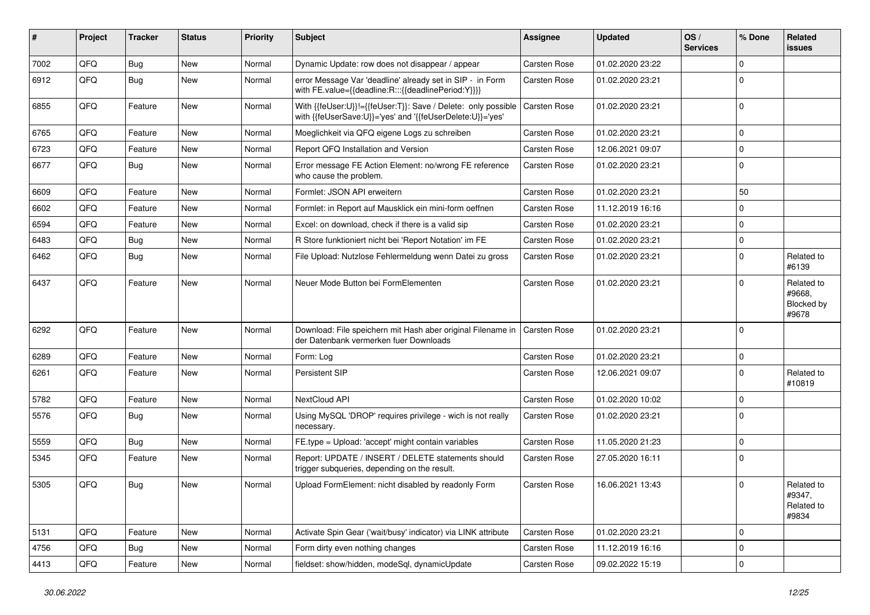| #    | Project | <b>Tracker</b> | <b>Status</b> | <b>Priority</b> | Subject                                                                                                                    | <b>Assignee</b> | <b>Updated</b>   | OS/<br><b>Services</b> | % Done      | Related<br>issues                           |
|------|---------|----------------|---------------|-----------------|----------------------------------------------------------------------------------------------------------------------------|-----------------|------------------|------------------------|-------------|---------------------------------------------|
| 7002 | QFQ     | Bug            | <b>New</b>    | Normal          | Dynamic Update: row does not disappear / appear                                                                            | Carsten Rose    | 01.02.2020 23:22 |                        | $\mathbf 0$ |                                             |
| 6912 | QFQ     | <b>Bug</b>     | <b>New</b>    | Normal          | error Message Var 'deadline' already set in SIP - in Form<br>with FE.value={{deadline:R:::{{deadlinePeriod:Y}}}}           | Carsten Rose    | 01.02.2020 23:21 |                        | $\Omega$    |                                             |
| 6855 | QFQ     | Feature        | <b>New</b>    | Normal          | With {{feUser:U}}!={{feUser:T}}: Save / Delete: only possible<br>with {{feUserSave:U}}='yes' and '{{feUserDelete:U}}='yes' | Carsten Rose    | 01.02.2020 23:21 |                        | $\mathbf 0$ |                                             |
| 6765 | QFQ     | Feature        | New           | Normal          | Moeglichkeit via QFQ eigene Logs zu schreiben                                                                              | Carsten Rose    | 01.02.2020 23:21 |                        | $\Omega$    |                                             |
| 6723 | QFQ     | Feature        | New           | Normal          | Report QFQ Installation and Version                                                                                        | Carsten Rose    | 12.06.2021 09:07 |                        | 0           |                                             |
| 6677 | QFQ     | Bug            | New           | Normal          | Error message FE Action Element: no/wrong FE reference<br>who cause the problem.                                           | Carsten Rose    | 01.02.2020 23:21 |                        | 0           |                                             |
| 6609 | QFQ     | Feature        | <b>New</b>    | Normal          | Formlet: JSON API erweitern                                                                                                | Carsten Rose    | 01.02.2020 23:21 |                        | 50          |                                             |
| 6602 | QFQ     | Feature        | New           | Normal          | Formlet: in Report auf Mausklick ein mini-form oeffnen                                                                     | Carsten Rose    | 11.12.2019 16:16 |                        | $\mathbf 0$ |                                             |
| 6594 | QFQ     | Feature        | <b>New</b>    | Normal          | Excel: on download, check if there is a valid sip                                                                          | Carsten Rose    | 01.02.2020 23:21 |                        | $\mathbf 0$ |                                             |
| 6483 | QFQ     | Bug            | <b>New</b>    | Normal          | R Store funktioniert nicht bei 'Report Notation' im FE                                                                     | Carsten Rose    | 01.02.2020 23:21 |                        | $\mathbf 0$ |                                             |
| 6462 | QFQ     | <b>Bug</b>     | <b>New</b>    | Normal          | File Upload: Nutzlose Fehlermeldung wenn Datei zu gross                                                                    | Carsten Rose    | 01.02.2020 23:21 |                        | $\mathbf 0$ | Related to<br>#6139                         |
| 6437 | QFQ     | Feature        | <b>New</b>    | Normal          | Neuer Mode Button bei FormElementen                                                                                        | Carsten Rose    | 01.02.2020 23:21 |                        | $\mathbf 0$ | Related to<br>#9668,<br>Blocked by<br>#9678 |
| 6292 | QFQ     | Feature        | <b>New</b>    | Normal          | Download: File speichern mit Hash aber original Filename in<br>der Datenbank vermerken fuer Downloads                      | Carsten Rose    | 01.02.2020 23:21 |                        | $\Omega$    |                                             |
| 6289 | QFQ     | Feature        | <b>New</b>    | Normal          | Form: Log                                                                                                                  | Carsten Rose    | 01.02.2020 23:21 |                        | 0           |                                             |
| 6261 | QFQ     | Feature        | <b>New</b>    | Normal          | Persistent SIP                                                                                                             | Carsten Rose    | 12.06.2021 09:07 |                        | $\Omega$    | Related to<br>#10819                        |
| 5782 | QFQ     | Feature        | <b>New</b>    | Normal          | NextCloud API                                                                                                              | Carsten Rose    | 01.02.2020 10:02 |                        | $\mathbf 0$ |                                             |
| 5576 | QFQ     | <b>Bug</b>     | New           | Normal          | Using MySQL 'DROP' requires privilege - wich is not really<br>necessary.                                                   | Carsten Rose    | 01.02.2020 23:21 |                        | $\Omega$    |                                             |
| 5559 | QFQ     | Bug            | New           | Normal          | FE.type = Upload: 'accept' might contain variables                                                                         | Carsten Rose    | 11.05.2020 21:23 |                        | $\mathbf 0$ |                                             |
| 5345 | QFQ     | Feature        | New           | Normal          | Report: UPDATE / INSERT / DELETE statements should<br>trigger subgueries, depending on the result.                         | Carsten Rose    | 27.05.2020 16:11 |                        | $\mathbf 0$ |                                             |
| 5305 | QFQ     | <b>Bug</b>     | <b>New</b>    | Normal          | Upload FormElement: nicht disabled by readonly Form                                                                        | Carsten Rose    | 16.06.2021 13:43 |                        | 0           | Related to<br>#9347,<br>Related to<br>#9834 |
| 5131 | QFQ     | Feature        | New           | Normal          | Activate Spin Gear ('wait/busy' indicator) via LINK attribute                                                              | Carsten Rose    | 01.02.2020 23:21 |                        | 0           |                                             |
| 4756 | QFQ     | Bug            | New           | Normal          | Form dirty even nothing changes                                                                                            | Carsten Rose    | 11.12.2019 16:16 |                        | 0           |                                             |
| 4413 | QFQ     | Feature        | New           | Normal          | fieldset: show/hidden, modeSql, dynamicUpdate                                                                              | Carsten Rose    | 09.02.2022 15:19 |                        | $\pmb{0}$   |                                             |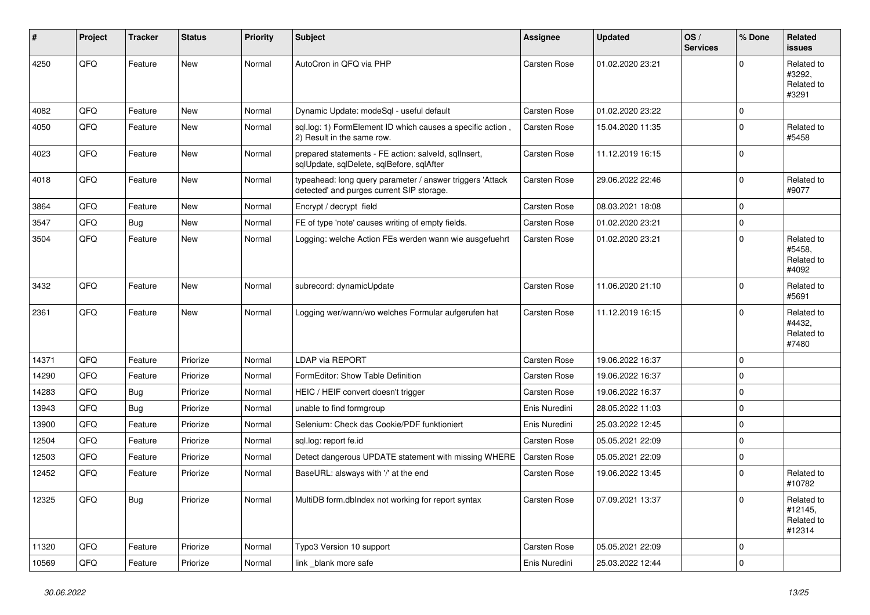| #     | Project | <b>Tracker</b> | <b>Status</b> | <b>Priority</b> | <b>Subject</b>                                                                                         | <b>Assignee</b>     | <b>Updated</b>   | OS/<br><b>Services</b> | % Done      | Related<br><b>issues</b>                      |
|-------|---------|----------------|---------------|-----------------|--------------------------------------------------------------------------------------------------------|---------------------|------------------|------------------------|-------------|-----------------------------------------------|
| 4250  | QFQ     | Feature        | New           | Normal          | AutoCron in QFQ via PHP                                                                                | Carsten Rose        | 01.02.2020 23:21 |                        | 0           | Related to<br>#3292.<br>Related to<br>#3291   |
| 4082  | QFQ     | Feature        | New           | Normal          | Dynamic Update: modeSql - useful default                                                               | Carsten Rose        | 01.02.2020 23:22 |                        | 0           |                                               |
| 4050  | QFQ     | Feature        | <b>New</b>    | Normal          | sql.log: 1) FormElement ID which causes a specific action,<br>2) Result in the same row.               | Carsten Rose        | 15.04.2020 11:35 |                        | $\Omega$    | Related to<br>#5458                           |
| 4023  | QFQ     | Feature        | New           | Normal          | prepared statements - FE action: salveld, sqllnsert,<br>sqlUpdate, sqlDelete, sqlBefore, sqlAfter      | Carsten Rose        | 11.12.2019 16:15 |                        | $\Omega$    |                                               |
| 4018  | QFQ     | Feature        | New           | Normal          | typeahead: long query parameter / answer triggers 'Attack<br>detected' and purges current SIP storage. | Carsten Rose        | 29.06.2022 22:46 |                        | $\mathbf 0$ | Related to<br>#9077                           |
| 3864  | QFQ     | Feature        | New           | Normal          | Encrypt / decrypt field                                                                                | Carsten Rose        | 08.03.2021 18:08 |                        | 0           |                                               |
| 3547  | QFQ     | Bug            | New           | Normal          | FE of type 'note' causes writing of empty fields.                                                      | Carsten Rose        | 01.02.2020 23:21 |                        | 0           |                                               |
| 3504  | QFQ     | Feature        | New           | Normal          | Logging: welche Action FEs werden wann wie ausgefuehrt                                                 | Carsten Rose        | 01.02.2020 23:21 |                        | 0           | Related to<br>#5458,<br>Related to<br>#4092   |
| 3432  | QFQ     | Feature        | <b>New</b>    | Normal          | subrecord: dynamicUpdate                                                                               | Carsten Rose        | 11.06.2020 21:10 |                        | 0           | Related to<br>#5691                           |
| 2361  | QFQ     | Feature        | New           | Normal          | Logging wer/wann/wo welches Formular aufgerufen hat                                                    | Carsten Rose        | 11.12.2019 16:15 |                        | 0           | Related to<br>#4432,<br>Related to<br>#7480   |
| 14371 | QFQ     | Feature        | Priorize      | Normal          | <b>LDAP via REPORT</b>                                                                                 | Carsten Rose        | 19.06.2022 16:37 |                        | 0           |                                               |
| 14290 | QFQ     | Feature        | Priorize      | Normal          | FormEditor: Show Table Definition                                                                      | Carsten Rose        | 19.06.2022 16:37 |                        | 0           |                                               |
| 14283 | QFQ     | <b>Bug</b>     | Priorize      | Normal          | HEIC / HEIF convert doesn't trigger                                                                    | Carsten Rose        | 19.06.2022 16:37 |                        | 0           |                                               |
| 13943 | QFQ     | Bug            | Priorize      | Normal          | unable to find formgroup                                                                               | Enis Nuredini       | 28.05.2022 11:03 |                        | 0           |                                               |
| 13900 | QFQ     | Feature        | Priorize      | Normal          | Selenium: Check das Cookie/PDF funktioniert                                                            | Enis Nuredini       | 25.03.2022 12:45 |                        | 0           |                                               |
| 12504 | QFQ     | Feature        | Priorize      | Normal          | sql.log: report fe.id                                                                                  | <b>Carsten Rose</b> | 05.05.2021 22:09 |                        | 0           |                                               |
| 12503 | QFQ     | Feature        | Priorize      | Normal          | Detect dangerous UPDATE statement with missing WHERE                                                   | <b>Carsten Rose</b> | 05.05.2021 22:09 |                        | 0           |                                               |
| 12452 | QFQ     | Feature        | Priorize      | Normal          | BaseURL: alsways with '/' at the end                                                                   | Carsten Rose        | 19.06.2022 13:45 |                        | 0           | Related to<br>#10782                          |
| 12325 | QFQ     | Bug            | Priorize      | Normal          | MultiDB form.dblndex not working for report syntax                                                     | Carsten Rose        | 07.09.2021 13:37 |                        | 0           | Related to<br>#12145,<br>Related to<br>#12314 |
| 11320 | QFQ     | Feature        | Priorize      | Normal          | Typo3 Version 10 support                                                                               | Carsten Rose        | 05.05.2021 22:09 |                        | 0           |                                               |
| 10569 | QFG     | Feature        | Priorize      | Normal          | link _blank more safe                                                                                  | Enis Nuredini       | 25.03.2022 12:44 |                        | 0           |                                               |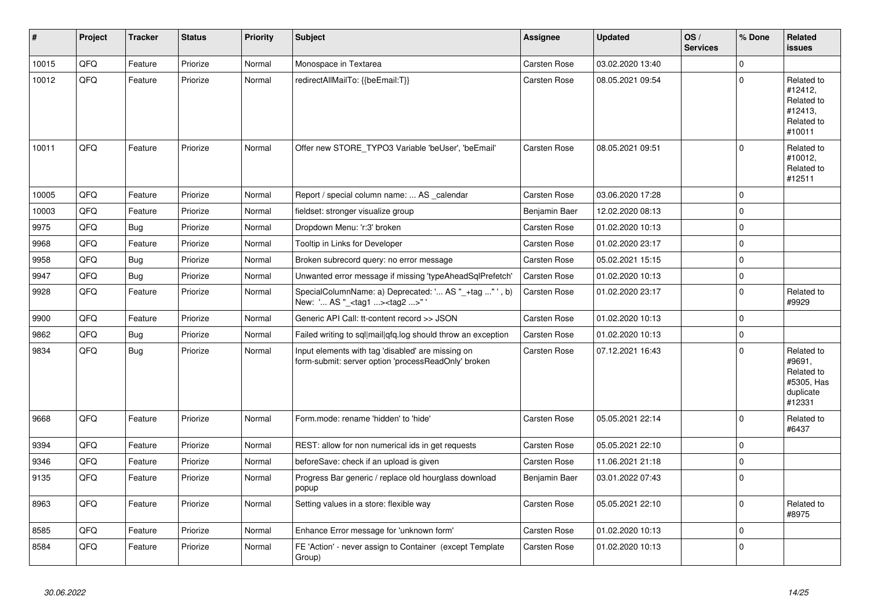| #     | Project | <b>Tracker</b> | <b>Status</b> | <b>Priority</b> | <b>Subject</b>                                                                                           | Assignee            | <b>Updated</b>   | OS/<br><b>Services</b> | % Done      | <b>Related</b><br>issues                                                |
|-------|---------|----------------|---------------|-----------------|----------------------------------------------------------------------------------------------------------|---------------------|------------------|------------------------|-------------|-------------------------------------------------------------------------|
| 10015 | QFQ     | Feature        | Priorize      | Normal          | Monospace in Textarea                                                                                    | <b>Carsten Rose</b> | 03.02.2020 13:40 |                        | 0           |                                                                         |
| 10012 | QFQ     | Feature        | Priorize      | Normal          | redirectAllMailTo: {{beEmail:T}}                                                                         | Carsten Rose        | 08.05.2021 09:54 |                        | $\Omega$    | Related to<br>#12412,<br>Related to<br>#12413,<br>Related to<br>#10011  |
| 10011 | QFQ     | Feature        | Priorize      | Normal          | Offer new STORE_TYPO3 Variable 'beUser', 'beEmail'                                                       | Carsten Rose        | 08.05.2021 09:51 |                        | 0           | Related to<br>#10012,<br>Related to<br>#12511                           |
| 10005 | QFQ     | Feature        | Priorize      | Normal          | Report / special column name:  AS calendar                                                               | Carsten Rose        | 03.06.2020 17:28 |                        | 0           |                                                                         |
| 10003 | QFQ     | Feature        | Priorize      | Normal          | fieldset: stronger visualize group                                                                       | Benjamin Baer       | 12.02.2020 08:13 |                        | 0           |                                                                         |
| 9975  | QFQ     | Bug            | Priorize      | Normal          | Dropdown Menu: 'r:3' broken                                                                              | Carsten Rose        | 01.02.2020 10:13 |                        | $\mathbf 0$ |                                                                         |
| 9968  | QFQ     | Feature        | Priorize      | Normal          | Tooltip in Links for Developer                                                                           | <b>Carsten Rose</b> | 01.02.2020 23:17 |                        | $\Omega$    |                                                                         |
| 9958  | QFQ     | Bug            | Priorize      | Normal          | Broken subrecord query: no error message                                                                 | Carsten Rose        | 05.02.2021 15:15 |                        | $\Omega$    |                                                                         |
| 9947  | QFQ     | <b>Bug</b>     | Priorize      | Normal          | Unwanted error message if missing 'typeAheadSqlPrefetch'                                                 | Carsten Rose        | 01.02.2020 10:13 |                        | $\mathbf 0$ |                                                                         |
| 9928  | QFQ     | Feature        | Priorize      | Normal          | SpecialColumnName: a) Deprecated: ' AS "_+tag " ', b)<br>New: ' AS "_ <tag1><tag2>"</tag2></tag1>        | Carsten Rose        | 01.02.2020 23:17 |                        | $\mathbf 0$ | Related to<br>#9929                                                     |
| 9900  | QFQ     | Feature        | Priorize      | Normal          | Generic API Call: tt-content record >> JSON                                                              | <b>Carsten Rose</b> | 01.02.2020 10:13 |                        | $\Omega$    |                                                                         |
| 9862  | QFQ     | Bug            | Priorize      | Normal          | Failed writing to sql mail qfq.log should throw an exception                                             | Carsten Rose        | 01.02.2020 10:13 |                        | 0           |                                                                         |
| 9834  | QFQ     | <b>Bug</b>     | Priorize      | Normal          | Input elements with tag 'disabled' are missing on<br>form-submit: server option 'processReadOnly' broken | Carsten Rose        | 07.12.2021 16:43 |                        | $\Omega$    | Related to<br>#9691.<br>Related to<br>#5305, Has<br>duplicate<br>#12331 |
| 9668  | QFQ     | Feature        | Priorize      | Normal          | Form.mode: rename 'hidden' to 'hide'                                                                     | Carsten Rose        | 05.05.2021 22:14 |                        | 0           | Related to<br>#6437                                                     |
| 9394  | QFQ     | Feature        | Priorize      | Normal          | REST: allow for non numerical ids in get requests                                                        | <b>Carsten Rose</b> | 05.05.2021 22:10 |                        | 0           |                                                                         |
| 9346  | QFQ     | Feature        | Priorize      | Normal          | beforeSave: check if an upload is given                                                                  | Carsten Rose        | 11.06.2021 21:18 |                        | 0           |                                                                         |
| 9135  | QFQ     | Feature        | Priorize      | Normal          | Progress Bar generic / replace old hourglass download<br>popup                                           | Benjamin Baer       | 03.01.2022 07:43 |                        | $\mathbf 0$ |                                                                         |
| 8963  | QFQ     | Feature        | Priorize      | Normal          | Setting values in a store: flexible way                                                                  | Carsten Rose        | 05.05.2021 22:10 |                        | $\Omega$    | Related to<br>#8975                                                     |
| 8585  | QFQ     | Feature        | Priorize      | Normal          | Enhance Error message for 'unknown form'                                                                 | <b>Carsten Rose</b> | 01.02.2020 10:13 |                        | 0           |                                                                         |
| 8584  | QFQ     | Feature        | Priorize      | Normal          | FE 'Action' - never assign to Container (except Template<br>Group)                                       | Carsten Rose        | 01.02.2020 10:13 |                        | $\Omega$    |                                                                         |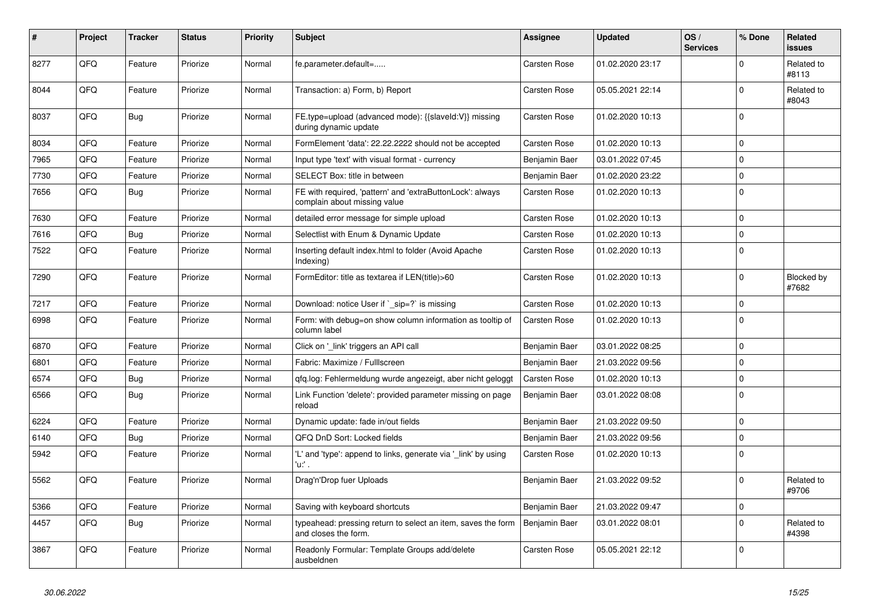| #    | Project | <b>Tracker</b> | <b>Status</b> | <b>Priority</b> | <b>Subject</b>                                                                            | Assignee            | <b>Updated</b>   | OS/<br><b>Services</b> | % Done      | Related<br>issues   |
|------|---------|----------------|---------------|-----------------|-------------------------------------------------------------------------------------------|---------------------|------------------|------------------------|-------------|---------------------|
| 8277 | QFQ     | Feature        | Priorize      | Normal          | fe.parameter.default=                                                                     | Carsten Rose        | 01.02.2020 23:17 |                        | $\mathbf 0$ | Related to<br>#8113 |
| 8044 | QFQ     | Feature        | Priorize      | Normal          | Transaction: a) Form, b) Report                                                           | Carsten Rose        | 05.05.2021 22:14 |                        | $\mathbf 0$ | Related to<br>#8043 |
| 8037 | QFQ     | <b>Bug</b>     | Priorize      | Normal          | FE.type=upload (advanced mode): {{slaveId:V}} missing<br>during dynamic update            | Carsten Rose        | 01.02.2020 10:13 |                        | $\Omega$    |                     |
| 8034 | QFQ     | Feature        | Priorize      | Normal          | FormElement 'data': 22.22.2222 should not be accepted                                     | <b>Carsten Rose</b> | 01.02.2020 10:13 |                        | $\Omega$    |                     |
| 7965 | QFQ     | Feature        | Priorize      | Normal          | Input type 'text' with visual format - currency                                           | Benjamin Baer       | 03.01.2022 07:45 |                        | $\mathbf 0$ |                     |
| 7730 | QFQ     | Feature        | Priorize      | Normal          | SELECT Box: title in between                                                              | Benjamin Baer       | 01.02.2020 23:22 |                        | 0           |                     |
| 7656 | QFQ     | Bug            | Priorize      | Normal          | FE with required, 'pattern' and 'extraButtonLock': always<br>complain about missing value | <b>Carsten Rose</b> | 01.02.2020 10:13 |                        | 0           |                     |
| 7630 | QFQ     | Feature        | Priorize      | Normal          | detailed error message for simple upload                                                  | Carsten Rose        | 01.02.2020 10:13 |                        | $\mathbf 0$ |                     |
| 7616 | QFQ     | <b>Bug</b>     | Priorize      | Normal          | Selectlist with Enum & Dynamic Update                                                     | <b>Carsten Rose</b> | 01.02.2020 10:13 |                        | 0           |                     |
| 7522 | QFQ     | Feature        | Priorize      | Normal          | Inserting default index.html to folder (Avoid Apache<br>Indexing)                         | Carsten Rose        | 01.02.2020 10:13 |                        | $\mathbf 0$ |                     |
| 7290 | QFQ     | Feature        | Priorize      | Normal          | FormEditor: title as textarea if LEN(title)>60                                            | Carsten Rose        | 01.02.2020 10:13 |                        | 0           | Blocked by<br>#7682 |
| 7217 | QFQ     | Feature        | Priorize      | Normal          | Download: notice User if `_sip=?` is missing                                              | Carsten Rose        | 01.02.2020 10:13 |                        | 0           |                     |
| 6998 | QFQ     | Feature        | Priorize      | Normal          | Form: with debug=on show column information as tooltip of<br>column label                 | Carsten Rose        | 01.02.2020 10:13 |                        | $\mathbf 0$ |                     |
| 6870 | QFQ     | Feature        | Priorize      | Normal          | Click on '_link' triggers an API call                                                     | Benjamin Baer       | 03.01.2022 08:25 |                        | 0           |                     |
| 6801 | QFQ     | Feature        | Priorize      | Normal          | Fabric: Maximize / Fulllscreen                                                            | Benjamin Baer       | 21.03.2022 09:56 |                        | $\mathbf 0$ |                     |
| 6574 | QFQ     | <b>Bug</b>     | Priorize      | Normal          | gfg.log: Fehlermeldung wurde angezeigt, aber nicht geloggt                                | <b>Carsten Rose</b> | 01.02.2020 10:13 |                        | $\mathbf 0$ |                     |
| 6566 | QFQ     | Bug            | Priorize      | Normal          | Link Function 'delete': provided parameter missing on page<br>reload                      | Benjamin Baer       | 03.01.2022 08:08 |                        | $\mathbf 0$ |                     |
| 6224 | QFQ     | Feature        | Priorize      | Normal          | Dynamic update: fade in/out fields                                                        | Benjamin Baer       | 21.03.2022 09:50 |                        | 0           |                     |
| 6140 | QFQ     | <b>Bug</b>     | Priorize      | Normal          | QFQ DnD Sort: Locked fields                                                               | Benjamin Baer       | 21.03.2022 09:56 |                        | $\Omega$    |                     |
| 5942 | QFQ     | Feature        | Priorize      | Normal          | 'L' and 'type': append to links, generate via '_link' by using<br>'u:' .                  | Carsten Rose        | 01.02.2020 10:13 |                        | $\Omega$    |                     |
| 5562 | QFQ     | Feature        | Priorize      | Normal          | Drag'n'Drop fuer Uploads                                                                  | Benjamin Baer       | 21.03.2022 09:52 |                        | 0           | Related to<br>#9706 |
| 5366 | QFQ     | Feature        | Priorize      | Normal          | Saving with keyboard shortcuts                                                            | Benjamin Baer       | 21.03.2022 09:47 |                        | 0           |                     |
| 4457 | QFQ     | Bug            | Priorize      | Normal          | typeahead: pressing return to select an item, saves the form<br>and closes the form.      | Benjamin Baer       | 03.01.2022 08:01 |                        | $\Omega$    | Related to<br>#4398 |
| 3867 | QFQ     | Feature        | Priorize      | Normal          | Readonly Formular: Template Groups add/delete<br>ausbeldnen                               | Carsten Rose        | 05.05.2021 22:12 |                        | $\Omega$    |                     |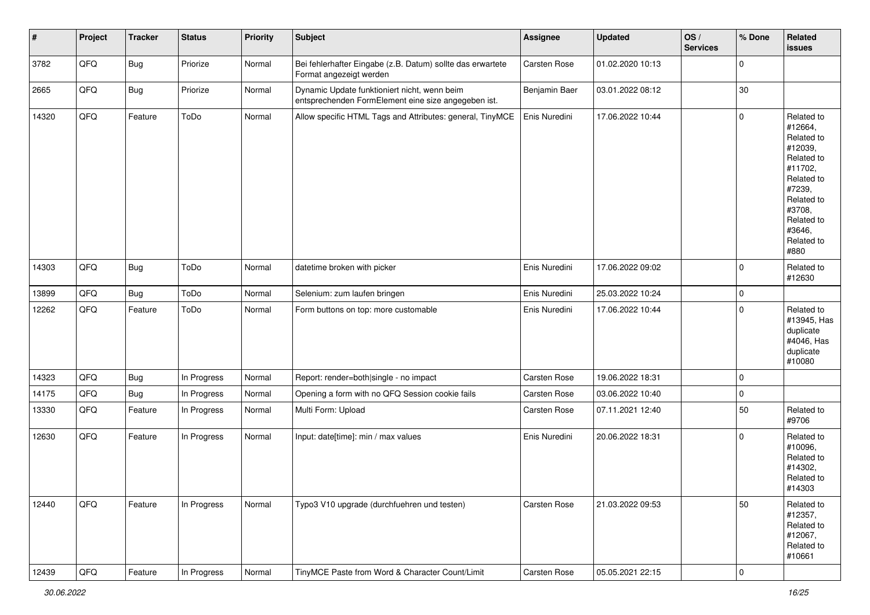| $\vert$ # | Project        | <b>Tracker</b> | <b>Status</b> | <b>Priority</b> | Subject                                                                                             | <b>Assignee</b> | <b>Updated</b>   | OS/<br><b>Services</b> | % Done              | Related<br>issues                                                                                                                                                     |
|-----------|----------------|----------------|---------------|-----------------|-----------------------------------------------------------------------------------------------------|-----------------|------------------|------------------------|---------------------|-----------------------------------------------------------------------------------------------------------------------------------------------------------------------|
| 3782      | QFQ            | <b>Bug</b>     | Priorize      | Normal          | Bei fehlerhafter Eingabe (z.B. Datum) sollte das erwartete<br>Format angezeigt werden               | Carsten Rose    | 01.02.2020 10:13 |                        | $\mathsf{O}\xspace$ |                                                                                                                                                                       |
| 2665      | QFQ            | <b>Bug</b>     | Priorize      | Normal          | Dynamic Update funktioniert nicht, wenn beim<br>entsprechenden FormElement eine size angegeben ist. | Benjamin Baer   | 03.01.2022 08:12 |                        | 30                  |                                                                                                                                                                       |
| 14320     | QFQ            | Feature        | ToDo          | Normal          | Allow specific HTML Tags and Attributes: general, TinyMCE                                           | Enis Nuredini   | 17.06.2022 10:44 |                        | 0                   | Related to<br>#12664,<br>Related to<br>#12039,<br>Related to<br>#11702,<br>Related to<br>#7239,<br>Related to<br>#3708,<br>Related to<br>#3646,<br>Related to<br>#880 |
| 14303     | QFQ            | <b>Bug</b>     | ToDo          | Normal          | datetime broken with picker                                                                         | Enis Nuredini   | 17.06.2022 09:02 |                        | $\mathbf 0$         | Related to<br>#12630                                                                                                                                                  |
| 13899     | QFQ            | <b>Bug</b>     | ToDo          | Normal          | Selenium: zum laufen bringen                                                                        | Enis Nuredini   | 25.03.2022 10:24 |                        | $\mathsf{O}\xspace$ |                                                                                                                                                                       |
| 12262     | QFQ            | Feature        | ToDo          | Normal          | Form buttons on top: more customable                                                                | Enis Nuredini   | 17.06.2022 10:44 |                        | $\mathsf{O}\xspace$ | Related to<br>#13945, Has<br>duplicate<br>#4046, Has<br>duplicate<br>#10080                                                                                           |
| 14323     | QFQ            | <b>Bug</b>     | In Progress   | Normal          | Report: render=both single - no impact                                                              | Carsten Rose    | 19.06.2022 18:31 |                        | $\mathsf{O}\xspace$ |                                                                                                                                                                       |
| 14175     | QFQ            | <b>Bug</b>     | In Progress   | Normal          | Opening a form with no QFQ Session cookie fails                                                     | Carsten Rose    | 03.06.2022 10:40 |                        | $\mathsf{O}\xspace$ |                                                                                                                                                                       |
| 13330     | QFQ            | Feature        | In Progress   | Normal          | Multi Form: Upload                                                                                  | Carsten Rose    | 07.11.2021 12:40 |                        | 50                  | Related to<br>#9706                                                                                                                                                   |
| 12630     | QFQ            | Feature        | In Progress   | Normal          | Input: date[time]: min / max values                                                                 | Enis Nuredini   | 20.06.2022 18:31 |                        | $\mathsf{O}\xspace$ | Related to<br>#10096,<br>Related to<br>#14302,<br>Related to<br>#14303                                                                                                |
| 12440     | QFQ            | Feature        | In Progress   | Normal          | Typo3 V10 upgrade (durchfuehren und testen)                                                         | Carsten Rose    | 21.03.2022 09:53 |                        | 50                  | Related to<br>#12357,<br>Related to<br>#12067,<br>Related to<br>#10661                                                                                                |
| 12439     | $\mathsf{QFQ}$ | Feature        | In Progress   | Normal          | TinyMCE Paste from Word & Character Count/Limit                                                     | Carsten Rose    | 05.05.2021 22:15 |                        | $\pmb{0}$           |                                                                                                                                                                       |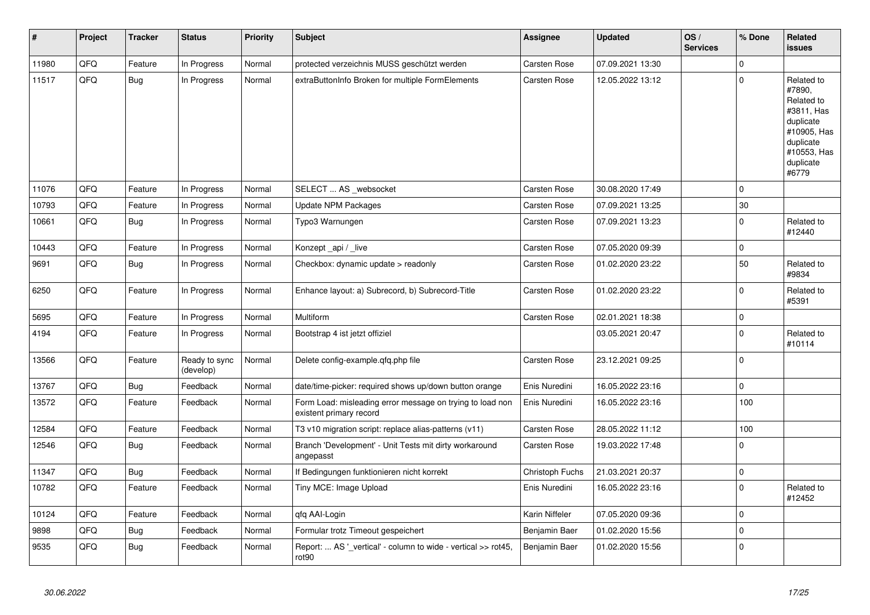| ∦     | Project | <b>Tracker</b> | <b>Status</b>              | <b>Priority</b> | <b>Subject</b>                                                                       | Assignee        | <b>Updated</b>   | OS/<br><b>Services</b> | % Done      | Related<br>issues                                                                                                              |
|-------|---------|----------------|----------------------------|-----------------|--------------------------------------------------------------------------------------|-----------------|------------------|------------------------|-------------|--------------------------------------------------------------------------------------------------------------------------------|
| 11980 | QFQ     | Feature        | In Progress                | Normal          | protected verzeichnis MUSS geschützt werden                                          | Carsten Rose    | 07.09.2021 13:30 |                        | $\mathbf 0$ |                                                                                                                                |
| 11517 | QFQ     | <b>Bug</b>     | In Progress                | Normal          | extraButtonInfo Broken for multiple FormElements                                     | Carsten Rose    | 12.05.2022 13:12 |                        | $\pmb{0}$   | Related to<br>#7890,<br>Related to<br>#3811, Has<br>duplicate<br>#10905, Has<br>duplicate<br>#10553, Has<br>duplicate<br>#6779 |
| 11076 | QFQ     | Feature        | In Progress                | Normal          | SELECT  AS _websocket                                                                | Carsten Rose    | 30.08.2020 17:49 |                        | $\Omega$    |                                                                                                                                |
| 10793 | QFQ     | Feature        | In Progress                | Normal          | <b>Update NPM Packages</b>                                                           | Carsten Rose    | 07.09.2021 13:25 |                        | 30          |                                                                                                                                |
| 10661 | QFQ     | <b>Bug</b>     | In Progress                | Normal          | Typo3 Warnungen                                                                      | Carsten Rose    | 07.09.2021 13:23 |                        | $\pmb{0}$   | Related to<br>#12440                                                                                                           |
| 10443 | QFQ     | Feature        | In Progress                | Normal          | Konzept_api / _live                                                                  | Carsten Rose    | 07.05.2020 09:39 |                        | $\pmb{0}$   |                                                                                                                                |
| 9691  | QFQ     | Bug            | In Progress                | Normal          | Checkbox: dynamic update > readonly                                                  | Carsten Rose    | 01.02.2020 23:22 |                        | 50          | Related to<br>#9834                                                                                                            |
| 6250  | QFQ     | Feature        | In Progress                | Normal          | Enhance layout: a) Subrecord, b) Subrecord-Title                                     | Carsten Rose    | 01.02.2020 23:22 |                        | $\pmb{0}$   | Related to<br>#5391                                                                                                            |
| 5695  | QFQ     | Feature        | In Progress                | Normal          | Multiform                                                                            | Carsten Rose    | 02.01.2021 18:38 |                        | $\pmb{0}$   |                                                                                                                                |
| 4194  | QFQ     | Feature        | In Progress                | Normal          | Bootstrap 4 ist jetzt offiziel                                                       |                 | 03.05.2021 20:47 |                        | 0           | Related to<br>#10114                                                                                                           |
| 13566 | QFQ     | Feature        | Ready to sync<br>(develop) | Normal          | Delete config-example.qfq.php file                                                   | Carsten Rose    | 23.12.2021 09:25 |                        | 0           |                                                                                                                                |
| 13767 | QFQ     | <b>Bug</b>     | Feedback                   | Normal          | date/time-picker: required shows up/down button orange                               | Enis Nuredini   | 16.05.2022 23:16 |                        | 0           |                                                                                                                                |
| 13572 | QFQ     | Feature        | Feedback                   | Normal          | Form Load: misleading error message on trying to load non<br>existent primary record | Enis Nuredini   | 16.05.2022 23:16 |                        | 100         |                                                                                                                                |
| 12584 | QFQ     | Feature        | Feedback                   | Normal          | T3 v10 migration script: replace alias-patterns (v11)                                | Carsten Rose    | 28.05.2022 11:12 |                        | 100         |                                                                                                                                |
| 12546 | QFQ     | <b>Bug</b>     | Feedback                   | Normal          | Branch 'Development' - Unit Tests mit dirty workaround<br>angepasst                  | Carsten Rose    | 19.03.2022 17:48 |                        | $\pmb{0}$   |                                                                                                                                |
| 11347 | QFQ     | Bug            | Feedback                   | Normal          | If Bedingungen funktionieren nicht korrekt                                           | Christoph Fuchs | 21.03.2021 20:37 |                        | 0           |                                                                                                                                |
| 10782 | QFQ     | Feature        | Feedback                   | Normal          | Tiny MCE: Image Upload                                                               | Enis Nuredini   | 16.05.2022 23:16 |                        | $\mathbf 0$ | Related to<br>#12452                                                                                                           |
| 10124 | QFQ     | Feature        | Feedback                   | Normal          | qfq AAI-Login                                                                        | Karin Niffeler  | 07.05.2020 09:36 |                        | 0           |                                                                                                                                |
| 9898  | QFQ     | <b>Bug</b>     | Feedback                   | Normal          | Formular trotz Timeout gespeichert                                                   | Benjamin Baer   | 01.02.2020 15:56 |                        | $\mathbf 0$ |                                                                                                                                |
| 9535  | QFQ     | <b>Bug</b>     | Feedback                   | Normal          | Report:  AS '_vertical' - column to wide - vertical >> rot45,<br>rot90               | Benjamin Baer   | 01.02.2020 15:56 |                        | $\Omega$    |                                                                                                                                |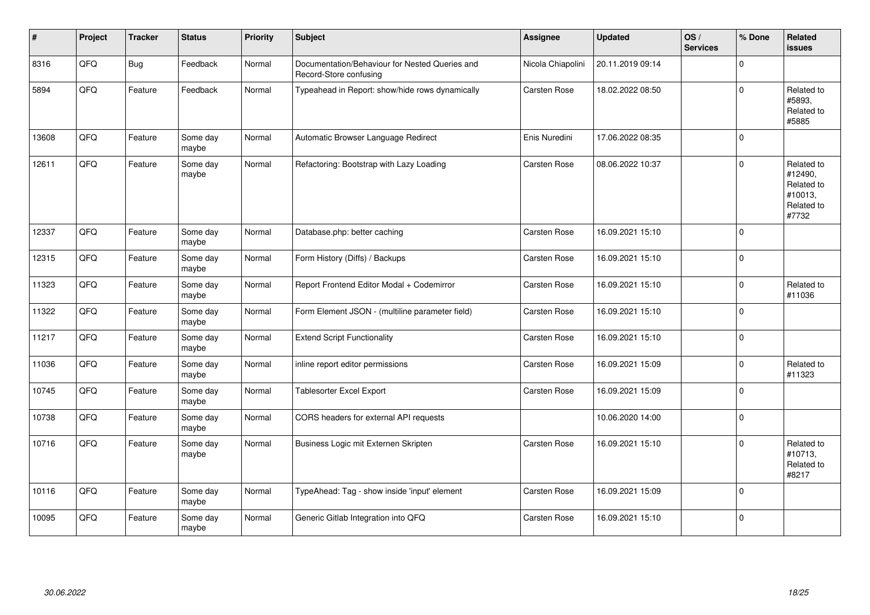| #     | Project | <b>Tracker</b> | <b>Status</b>     | <b>Priority</b> | Subject                                                                  | <b>Assignee</b>   | <b>Updated</b>   | OS/<br><b>Services</b> | % Done      | <b>Related</b><br><b>issues</b>                                       |
|-------|---------|----------------|-------------------|-----------------|--------------------------------------------------------------------------|-------------------|------------------|------------------------|-------------|-----------------------------------------------------------------------|
| 8316  | QFQ     | <b>Bug</b>     | Feedback          | Normal          | Documentation/Behaviour for Nested Queries and<br>Record-Store confusing | Nicola Chiapolini | 20.11.2019 09:14 |                        | 0           |                                                                       |
| 5894  | QFQ     | Feature        | Feedback          | Normal          | Typeahead in Report: show/hide rows dynamically                          | Carsten Rose      | 18.02.2022 08:50 |                        | 0           | Related to<br>#5893,<br>Related to<br>#5885                           |
| 13608 | QFQ     | Feature        | Some day<br>maybe | Normal          | Automatic Browser Language Redirect                                      | Enis Nuredini     | 17.06.2022 08:35 |                        | $\Omega$    |                                                                       |
| 12611 | QFQ     | Feature        | Some day<br>maybe | Normal          | Refactoring: Bootstrap with Lazy Loading                                 | Carsten Rose      | 08.06.2022 10:37 |                        | $\Omega$    | Related to<br>#12490,<br>Related to<br>#10013,<br>Related to<br>#7732 |
| 12337 | QFQ     | Feature        | Some day<br>maybe | Normal          | Database.php: better caching                                             | Carsten Rose      | 16.09.2021 15:10 |                        | $\Omega$    |                                                                       |
| 12315 | QFQ     | Feature        | Some day<br>maybe | Normal          | Form History (Diffs) / Backups                                           | Carsten Rose      | 16.09.2021 15:10 |                        | $\mathbf 0$ |                                                                       |
| 11323 | QFQ     | Feature        | Some day<br>maybe | Normal          | Report Frontend Editor Modal + Codemirror                                | Carsten Rose      | 16.09.2021 15:10 |                        | $\mathbf 0$ | Related to<br>#11036                                                  |
| 11322 | QFQ     | Feature        | Some day<br>maybe | Normal          | Form Element JSON - (multiline parameter field)                          | Carsten Rose      | 16.09.2021 15:10 |                        | $\mathbf 0$ |                                                                       |
| 11217 | QFQ     | Feature        | Some day<br>maybe | Normal          | <b>Extend Script Functionality</b>                                       | Carsten Rose      | 16.09.2021 15:10 |                        | $\mathbf 0$ |                                                                       |
| 11036 | QFQ     | Feature        | Some day<br>maybe | Normal          | inline report editor permissions                                         | Carsten Rose      | 16.09.2021 15:09 |                        | $\mathbf 0$ | Related to<br>#11323                                                  |
| 10745 | QFQ     | Feature        | Some day<br>maybe | Normal          | <b>Tablesorter Excel Export</b>                                          | Carsten Rose      | 16.09.2021 15:09 |                        | $\mathbf 0$ |                                                                       |
| 10738 | QFQ     | Feature        | Some day<br>maybe | Normal          | CORS headers for external API requests                                   |                   | 10.06.2020 14:00 |                        | $\mathbf 0$ |                                                                       |
| 10716 | QFQ     | Feature        | Some day<br>maybe | Normal          | Business Logic mit Externen Skripten                                     | Carsten Rose      | 16.09.2021 15:10 |                        | $\mathbf 0$ | Related to<br>#10713,<br>Related to<br>#8217                          |
| 10116 | QFQ     | Feature        | Some day<br>maybe | Normal          | TypeAhead: Tag - show inside 'input' element                             | Carsten Rose      | 16.09.2021 15:09 |                        | $\Omega$    |                                                                       |
| 10095 | QFQ     | Feature        | Some day<br>maybe | Normal          | Generic Gitlab Integration into QFQ                                      | Carsten Rose      | 16.09.2021 15:10 |                        | $\Omega$    |                                                                       |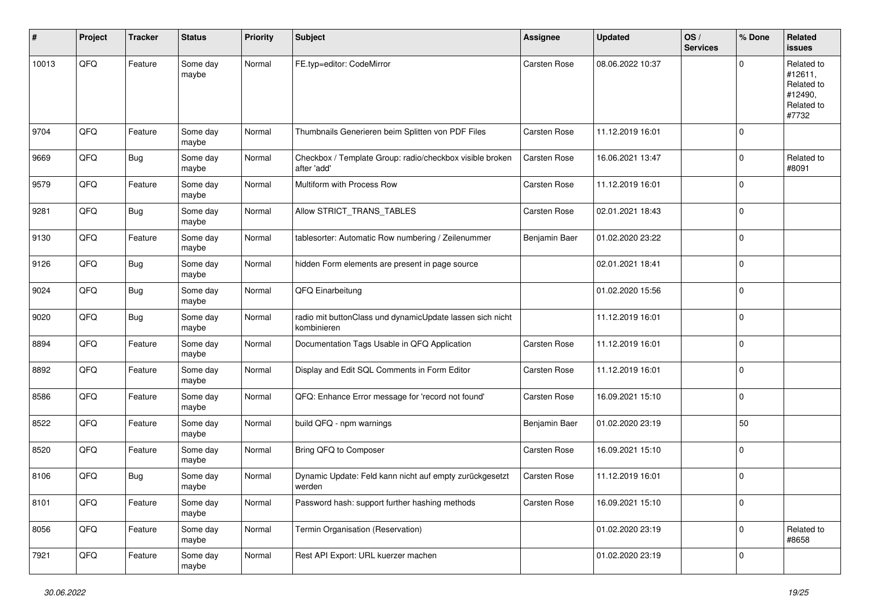| #     | Project | <b>Tracker</b> | <b>Status</b>     | <b>Priority</b> | <b>Subject</b>                                                           | Assignee            | <b>Updated</b>   | OS/<br><b>Services</b> | % Done      | Related<br><b>issues</b>                                              |
|-------|---------|----------------|-------------------|-----------------|--------------------------------------------------------------------------|---------------------|------------------|------------------------|-------------|-----------------------------------------------------------------------|
| 10013 | QFQ     | Feature        | Some day<br>maybe | Normal          | FE.typ=editor: CodeMirror                                                | Carsten Rose        | 08.06.2022 10:37 |                        | $\mathbf 0$ | Related to<br>#12611,<br>Related to<br>#12490,<br>Related to<br>#7732 |
| 9704  | QFQ     | Feature        | Some day<br>maybe | Normal          | Thumbnails Generieren beim Splitten von PDF Files                        | Carsten Rose        | 11.12.2019 16:01 |                        | $\mathbf 0$ |                                                                       |
| 9669  | QFQ     | <b>Bug</b>     | Some day<br>maybe | Normal          | Checkbox / Template Group: radio/checkbox visible broken<br>after 'add'  | Carsten Rose        | 16.06.2021 13:47 |                        | $\mathbf 0$ | Related to<br>#8091                                                   |
| 9579  | QFQ     | Feature        | Some day<br>maybe | Normal          | Multiform with Process Row                                               | Carsten Rose        | 11.12.2019 16:01 |                        | $\mathbf 0$ |                                                                       |
| 9281  | QFQ     | <b>Bug</b>     | Some day<br>maybe | Normal          | Allow STRICT_TRANS_TABLES                                                | Carsten Rose        | 02.01.2021 18:43 |                        | $\mathbf 0$ |                                                                       |
| 9130  | QFQ     | Feature        | Some day<br>maybe | Normal          | tablesorter: Automatic Row numbering / Zeilenummer                       | Benjamin Baer       | 01.02.2020 23:22 |                        | $\mathbf 0$ |                                                                       |
| 9126  | QFQ     | <b>Bug</b>     | Some day<br>maybe | Normal          | hidden Form elements are present in page source                          |                     | 02.01.2021 18:41 |                        | $\mathbf 0$ |                                                                       |
| 9024  | QFQ     | Bug            | Some day<br>maybe | Normal          | QFQ Einarbeitung                                                         |                     | 01.02.2020 15:56 |                        | $\mathbf 0$ |                                                                       |
| 9020  | QFQ     | <b>Bug</b>     | Some day<br>maybe | Normal          | radio mit buttonClass und dynamicUpdate lassen sich nicht<br>kombinieren |                     | 11.12.2019 16:01 |                        | $\mathbf 0$ |                                                                       |
| 8894  | QFQ     | Feature        | Some day<br>maybe | Normal          | Documentation Tags Usable in QFQ Application                             | <b>Carsten Rose</b> | 11.12.2019 16:01 |                        | $\mathbf 0$ |                                                                       |
| 8892  | QFQ     | Feature        | Some day<br>maybe | Normal          | Display and Edit SQL Comments in Form Editor                             | Carsten Rose        | 11.12.2019 16:01 |                        | $\mathbf 0$ |                                                                       |
| 8586  | QFQ     | Feature        | Some day<br>maybe | Normal          | QFQ: Enhance Error message for 'record not found'                        | Carsten Rose        | 16.09.2021 15:10 |                        | 0           |                                                                       |
| 8522  | QFQ     | Feature        | Some day<br>maybe | Normal          | build QFQ - npm warnings                                                 | Benjamin Baer       | 01.02.2020 23:19 |                        | 50          |                                                                       |
| 8520  | QFQ     | Feature        | Some day<br>maybe | Normal          | Bring QFQ to Composer                                                    | Carsten Rose        | 16.09.2021 15:10 |                        | $\mathbf 0$ |                                                                       |
| 8106  | QFQ     | <b>Bug</b>     | Some day<br>maybe | Normal          | Dynamic Update: Feld kann nicht auf empty zurückgesetzt<br>werden        | <b>Carsten Rose</b> | 11.12.2019 16:01 |                        | $\mathbf 0$ |                                                                       |
| 8101  | QFQ     | Feature        | Some day<br>maybe | Normal          | Password hash: support further hashing methods                           | Carsten Rose        | 16.09.2021 15:10 |                        | 0           |                                                                       |
| 8056  | QFQ     | Feature        | Some day<br>maybe | Normal          | Termin Organisation (Reservation)                                        |                     | 01.02.2020 23:19 |                        | 0           | Related to<br>#8658                                                   |
| 7921  | QFQ     | Feature        | Some day<br>maybe | Normal          | Rest API Export: URL kuerzer machen                                      |                     | 01.02.2020 23:19 |                        | $\mathbf 0$ |                                                                       |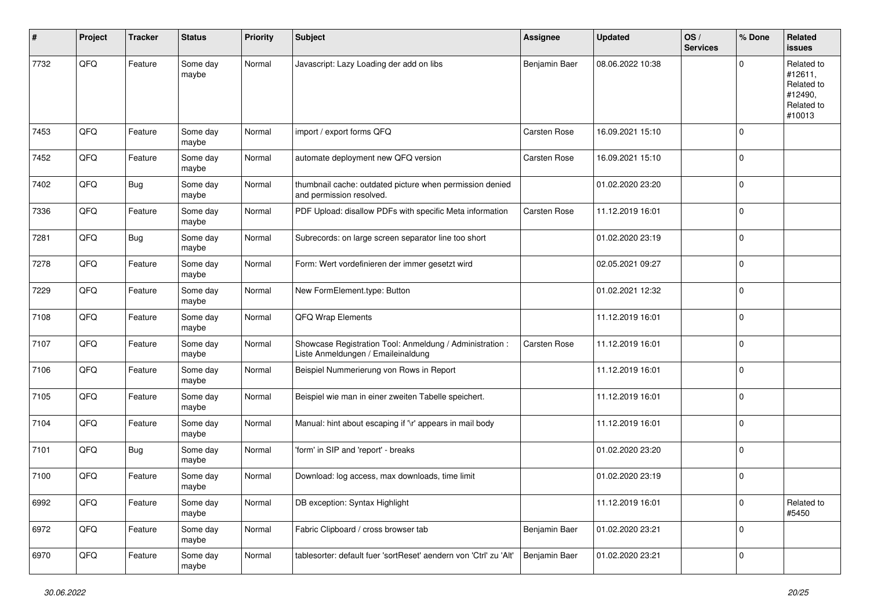| ∦    | Project | <b>Tracker</b> | <b>Status</b>     | <b>Priority</b> | <b>Subject</b>                                                                                 | <b>Assignee</b> | <b>Updated</b>   | OS/<br><b>Services</b> | % Done      | Related<br>issues                                                      |
|------|---------|----------------|-------------------|-----------------|------------------------------------------------------------------------------------------------|-----------------|------------------|------------------------|-------------|------------------------------------------------------------------------|
| 7732 | QFQ     | Feature        | Some day<br>maybe | Normal          | Javascript: Lazy Loading der add on libs                                                       | Benjamin Baer   | 08.06.2022 10:38 |                        | $\Omega$    | Related to<br>#12611,<br>Related to<br>#12490,<br>Related to<br>#10013 |
| 7453 | QFQ     | Feature        | Some day<br>maybe | Normal          | import / export forms QFQ                                                                      | Carsten Rose    | 16.09.2021 15:10 |                        | 0           |                                                                        |
| 7452 | QFQ     | Feature        | Some day<br>maybe | Normal          | automate deployment new QFQ version                                                            | Carsten Rose    | 16.09.2021 15:10 |                        | $\Omega$    |                                                                        |
| 7402 | QFQ     | <b>Bug</b>     | Some day<br>maybe | Normal          | thumbnail cache: outdated picture when permission denied<br>and permission resolved.           |                 | 01.02.2020 23:20 |                        | 0           |                                                                        |
| 7336 | QFQ     | Feature        | Some day<br>maybe | Normal          | PDF Upload: disallow PDFs with specific Meta information                                       | Carsten Rose    | 11.12.2019 16:01 |                        | $\mathbf 0$ |                                                                        |
| 7281 | QFQ     | <b>Bug</b>     | Some day<br>maybe | Normal          | Subrecords: on large screen separator line too short                                           |                 | 01.02.2020 23:19 |                        | 0           |                                                                        |
| 7278 | QFQ     | Feature        | Some day<br>maybe | Normal          | Form: Wert vordefinieren der immer gesetzt wird                                                |                 | 02.05.2021 09:27 |                        | $\mathbf 0$ |                                                                        |
| 7229 | QFQ     | Feature        | Some day<br>maybe | Normal          | New FormElement.type: Button                                                                   |                 | 01.02.2021 12:32 |                        | 0           |                                                                        |
| 7108 | QFQ     | Feature        | Some day<br>maybe | Normal          | <b>QFQ Wrap Elements</b>                                                                       |                 | 11.12.2019 16:01 |                        | 0           |                                                                        |
| 7107 | QFQ     | Feature        | Some day<br>maybe | Normal          | Showcase Registration Tool: Anmeldung / Administration :<br>Liste Anmeldungen / Emaileinaldung | Carsten Rose    | 11.12.2019 16:01 |                        | $\mathbf 0$ |                                                                        |
| 7106 | QFQ     | Feature        | Some day<br>maybe | Normal          | Beispiel Nummerierung von Rows in Report                                                       |                 | 11.12.2019 16:01 |                        | $\mathbf 0$ |                                                                        |
| 7105 | QFQ     | Feature        | Some day<br>maybe | Normal          | Beispiel wie man in einer zweiten Tabelle speichert.                                           |                 | 11.12.2019 16:01 |                        | 0           |                                                                        |
| 7104 | QFQ     | Feature        | Some day<br>maybe | Normal          | Manual: hint about escaping if '\r' appears in mail body                                       |                 | 11.12.2019 16:01 |                        | 0           |                                                                        |
| 7101 | QFQ     | <b>Bug</b>     | Some day<br>maybe | Normal          | 'form' in SIP and 'report' - breaks                                                            |                 | 01.02.2020 23:20 |                        | $\mathbf 0$ |                                                                        |
| 7100 | QFQ     | Feature        | Some day<br>maybe | Normal          | Download: log access, max downloads, time limit                                                |                 | 01.02.2020 23:19 |                        | 0           |                                                                        |
| 6992 | QFQ     | Feature        | Some day<br>maybe | Normal          | DB exception: Syntax Highlight                                                                 |                 | 11.12.2019 16:01 |                        | $\pmb{0}$   | Related to<br>#5450                                                    |
| 6972 | QFQ     | Feature        | Some day<br>maybe | Normal          | Fabric Clipboard / cross browser tab                                                           | Benjamin Baer   | 01.02.2020 23:21 |                        | 0           |                                                                        |
| 6970 | QFG     | Feature        | Some day<br>maybe | Normal          | tablesorter: default fuer 'sortReset' aendern von 'Ctrl' zu 'Alt'                              | Benjamin Baer   | 01.02.2020 23:21 |                        | $\pmb{0}$   |                                                                        |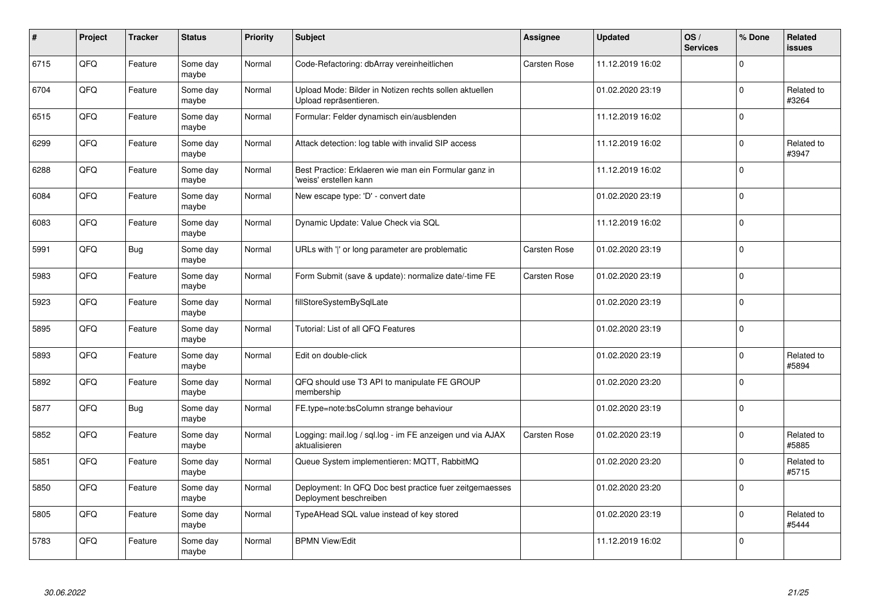| $\pmb{\#}$ | Project | <b>Tracker</b> | <b>Status</b>     | <b>Priority</b> | <b>Subject</b>                                                                    | Assignee            | <b>Updated</b>   | OS/<br><b>Services</b> | % Done       | <b>Related</b><br><b>issues</b> |
|------------|---------|----------------|-------------------|-----------------|-----------------------------------------------------------------------------------|---------------------|------------------|------------------------|--------------|---------------------------------|
| 6715       | QFQ     | Feature        | Some day<br>maybe | Normal          | Code-Refactoring: dbArray vereinheitlichen                                        | <b>Carsten Rose</b> | 11.12.2019 16:02 |                        | $\Omega$     |                                 |
| 6704       | QFQ     | Feature        | Some day<br>maybe | Normal          | Upload Mode: Bilder in Notizen rechts sollen aktuellen<br>Upload repräsentieren.  |                     | 01.02.2020 23:19 |                        | 0            | Related to<br>#3264             |
| 6515       | QFQ     | Feature        | Some day<br>maybe | Normal          | Formular: Felder dynamisch ein/ausblenden                                         |                     | 11.12.2019 16:02 |                        | $\Omega$     |                                 |
| 6299       | QFQ     | Feature        | Some day<br>maybe | Normal          | Attack detection: log table with invalid SIP access                               |                     | 11.12.2019 16:02 |                        | $\Omega$     | Related to<br>#3947             |
| 6288       | QFQ     | Feature        | Some day<br>maybe | Normal          | Best Practice: Erklaeren wie man ein Formular ganz in<br>'weiss' erstellen kann   |                     | 11.12.2019 16:02 |                        | $\mathbf 0$  |                                 |
| 6084       | QFQ     | Feature        | Some day<br>maybe | Normal          | New escape type: 'D' - convert date                                               |                     | 01.02.2020 23:19 |                        | $\mathbf{0}$ |                                 |
| 6083       | QFQ     | Feature        | Some day<br>maybe | Normal          | Dynamic Update: Value Check via SQL                                               |                     | 11.12.2019 16:02 |                        | $\mathbf 0$  |                                 |
| 5991       | QFQ     | <b>Bug</b>     | Some day<br>maybe | Normal          | URLs with ' ' or long parameter are problematic                                   | Carsten Rose        | 01.02.2020 23:19 |                        | $\mathbf{0}$ |                                 |
| 5983       | QFQ     | Feature        | Some day<br>maybe | Normal          | Form Submit (save & update): normalize date/-time FE                              | <b>Carsten Rose</b> | 01.02.2020 23:19 |                        | $\Omega$     |                                 |
| 5923       | QFQ     | Feature        | Some day<br>maybe | Normal          | fillStoreSystemBySqlLate                                                          |                     | 01.02.2020 23:19 |                        | $\mathbf 0$  |                                 |
| 5895       | QFQ     | Feature        | Some day<br>maybe | Normal          | Tutorial: List of all QFQ Features                                                |                     | 01.02.2020 23:19 |                        | $\mathbf 0$  |                                 |
| 5893       | QFQ     | Feature        | Some day<br>maybe | Normal          | Edit on double-click                                                              |                     | 01.02.2020 23:19 |                        | $\mathbf 0$  | Related to<br>#5894             |
| 5892       | QFQ     | Feature        | Some day<br>maybe | Normal          | QFQ should use T3 API to manipulate FE GROUP<br>membership                        |                     | 01.02.2020 23:20 |                        | $\mathbf 0$  |                                 |
| 5877       | QFQ     | <b>Bug</b>     | Some day<br>maybe | Normal          | FE.type=note:bsColumn strange behaviour                                           |                     | 01.02.2020 23:19 |                        | 0            |                                 |
| 5852       | QFQ     | Feature        | Some day<br>maybe | Normal          | Logging: mail.log / sql.log - im FE anzeigen und via AJAX<br>aktualisieren        | Carsten Rose        | 01.02.2020 23:19 |                        | $\Omega$     | Related to<br>#5885             |
| 5851       | QFQ     | Feature        | Some day<br>maybe | Normal          | Queue System implementieren: MQTT, RabbitMQ                                       |                     | 01.02.2020 23:20 |                        | $\Omega$     | Related to<br>#5715             |
| 5850       | QFQ     | Feature        | Some day<br>maybe | Normal          | Deployment: In QFQ Doc best practice fuer zeitgemaesses<br>Deployment beschreiben |                     | 01.02.2020 23:20 |                        | 0            |                                 |
| 5805       | QFQ     | Feature        | Some day<br>maybe | Normal          | TypeAHead SQL value instead of key stored                                         |                     | 01.02.2020 23:19 |                        | 0            | Related to<br>#5444             |
| 5783       | QFQ     | Feature        | Some day<br>maybe | Normal          | <b>BPMN View/Edit</b>                                                             |                     | 11.12.2019 16:02 |                        | $\Omega$     |                                 |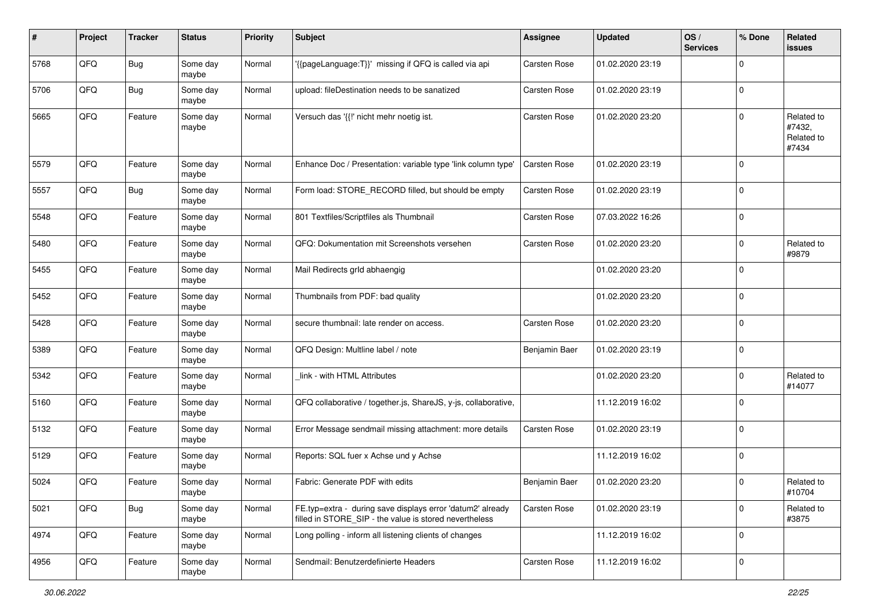| #    | Project | <b>Tracker</b> | <b>Status</b>     | <b>Priority</b> | <b>Subject</b>                                                                                                       | <b>Assignee</b> | <b>Updated</b>   | OS/<br><b>Services</b> | % Done      | Related<br>issues                           |
|------|---------|----------------|-------------------|-----------------|----------------------------------------------------------------------------------------------------------------------|-----------------|------------------|------------------------|-------------|---------------------------------------------|
| 5768 | QFQ     | Bug            | Some day<br>maybe | Normal          | '{{pageLanguage:T}}' missing if QFQ is called via api                                                                | Carsten Rose    | 01.02.2020 23:19 |                        | $\mathbf 0$ |                                             |
| 5706 | QFQ     | Bug            | Some day<br>maybe | Normal          | upload: fileDestination needs to be sanatized                                                                        | Carsten Rose    | 01.02.2020 23:19 |                        | $\mathbf 0$ |                                             |
| 5665 | QFQ     | Feature        | Some day<br>maybe | Normal          | Versuch das '{{!' nicht mehr noetig ist.                                                                             | Carsten Rose    | 01.02.2020 23:20 |                        | $\mathbf 0$ | Related to<br>#7432,<br>Related to<br>#7434 |
| 5579 | QFQ     | Feature        | Some day<br>maybe | Normal          | Enhance Doc / Presentation: variable type 'link column type'                                                         | Carsten Rose    | 01.02.2020 23:19 |                        | $\mathbf 0$ |                                             |
| 5557 | QFQ     | <b>Bug</b>     | Some day<br>maybe | Normal          | Form load: STORE_RECORD filled, but should be empty                                                                  | Carsten Rose    | 01.02.2020 23:19 |                        | 0           |                                             |
| 5548 | QFQ     | Feature        | Some day<br>maybe | Normal          | 801 Textfiles/Scriptfiles als Thumbnail                                                                              | Carsten Rose    | 07.03.2022 16:26 |                        | $\mathbf 0$ |                                             |
| 5480 | QFQ     | Feature        | Some day<br>maybe | Normal          | QFQ: Dokumentation mit Screenshots versehen                                                                          | Carsten Rose    | 01.02.2020 23:20 |                        | $\mathbf 0$ | Related to<br>#9879                         |
| 5455 | QFQ     | Feature        | Some day<br>maybe | Normal          | Mail Redirects grld abhaengig                                                                                        |                 | 01.02.2020 23:20 |                        | $\mathbf 0$ |                                             |
| 5452 | QFQ     | Feature        | Some day<br>maybe | Normal          | Thumbnails from PDF: bad quality                                                                                     |                 | 01.02.2020 23:20 |                        | $\mathbf 0$ |                                             |
| 5428 | QFQ     | Feature        | Some day<br>maybe | Normal          | secure thumbnail: late render on access.                                                                             | Carsten Rose    | 01.02.2020 23:20 |                        | $\mathbf 0$ |                                             |
| 5389 | QFQ     | Feature        | Some day<br>maybe | Normal          | QFQ Design: Multline label / note                                                                                    | Benjamin Baer   | 01.02.2020 23:19 |                        | $\mathbf 0$ |                                             |
| 5342 | QFQ     | Feature        | Some day<br>maybe | Normal          | link - with HTML Attributes                                                                                          |                 | 01.02.2020 23:20 |                        | $\mathbf 0$ | Related to<br>#14077                        |
| 5160 | QFQ     | Feature        | Some day<br>maybe | Normal          | QFQ collaborative / together.js, ShareJS, y-js, collaborative,                                                       |                 | 11.12.2019 16:02 |                        | $\mathbf 0$ |                                             |
| 5132 | QFQ     | Feature        | Some day<br>maybe | Normal          | Error Message sendmail missing attachment: more details                                                              | Carsten Rose    | 01.02.2020 23:19 |                        | $\mathbf 0$ |                                             |
| 5129 | QFQ     | Feature        | Some day<br>maybe | Normal          | Reports: SQL fuer x Achse und y Achse                                                                                |                 | 11.12.2019 16:02 |                        | $\mathbf 0$ |                                             |
| 5024 | QFQ     | Feature        | Some day<br>maybe | Normal          | Fabric: Generate PDF with edits                                                                                      | Benjamin Baer   | 01.02.2020 23:20 |                        | $\mathbf 0$ | Related to<br>#10704                        |
| 5021 | QFQ     | <b>Bug</b>     | Some day<br>maybe | Normal          | FE.typ=extra - during save displays error 'datum2' already<br>filled in STORE_SIP - the value is stored nevertheless | Carsten Rose    | 01.02.2020 23:19 |                        | $\mathbf 0$ | Related to<br>#3875                         |
| 4974 | QFQ     | Feature        | Some day<br>maybe | Normal          | Long polling - inform all listening clients of changes                                                               |                 | 11.12.2019 16:02 |                        | $\mathbf 0$ |                                             |
| 4956 | QFO     | Feature        | Some day<br>maybe | Normal          | Sendmail: Benutzerdefinierte Headers                                                                                 | Carsten Rose    | 11.12.2019 16:02 |                        | $\mathbf 0$ |                                             |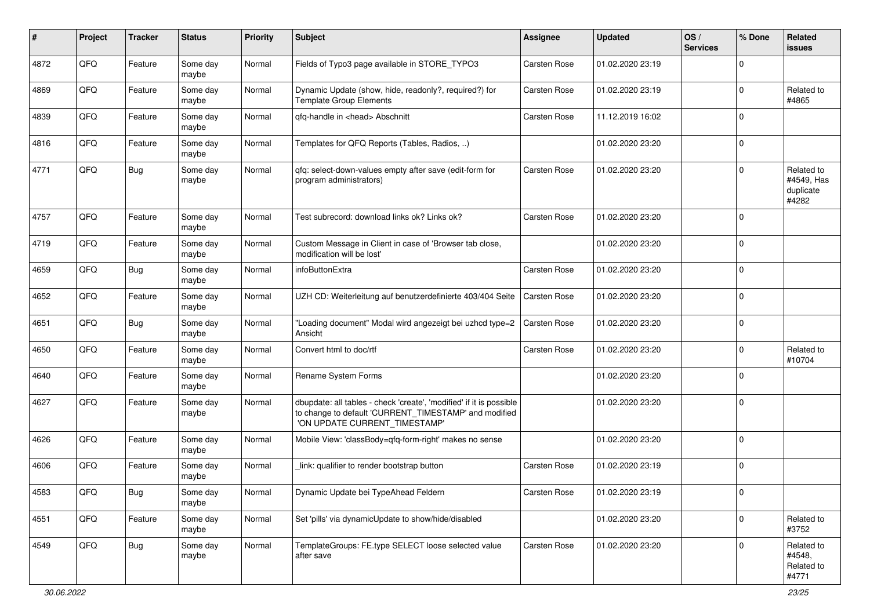| ∦    | Project | <b>Tracker</b> | <b>Status</b>     | <b>Priority</b> | <b>Subject</b>                                                                                                                                                | <b>Assignee</b>     | <b>Updated</b>   | OS/<br><b>Services</b> | % Done      | Related<br><b>issues</b>                       |
|------|---------|----------------|-------------------|-----------------|---------------------------------------------------------------------------------------------------------------------------------------------------------------|---------------------|------------------|------------------------|-------------|------------------------------------------------|
| 4872 | QFQ     | Feature        | Some day<br>maybe | Normal          | Fields of Typo3 page available in STORE_TYPO3                                                                                                                 | <b>Carsten Rose</b> | 01.02.2020 23:19 |                        | 0           |                                                |
| 4869 | QFQ     | Feature        | Some day<br>maybe | Normal          | Dynamic Update (show, hide, readonly?, required?) for<br>Template Group Elements                                                                              | <b>Carsten Rose</b> | 01.02.2020 23:19 |                        | 0           | Related to<br>#4865                            |
| 4839 | QFQ     | Feature        | Some day<br>maybe | Normal          | qfq-handle in <head> Abschnitt</head>                                                                                                                         | Carsten Rose        | 11.12.2019 16:02 |                        | 0           |                                                |
| 4816 | QFQ     | Feature        | Some day<br>maybe | Normal          | Templates for QFQ Reports (Tables, Radios, )                                                                                                                  |                     | 01.02.2020 23:20 |                        | 0           |                                                |
| 4771 | QFQ     | Bug            | Some day<br>maybe | Normal          | qfq: select-down-values empty after save (edit-form for<br>program administrators)                                                                            | Carsten Rose        | 01.02.2020 23:20 |                        | 0           | Related to<br>#4549, Has<br>duplicate<br>#4282 |
| 4757 | QFQ     | Feature        | Some day<br>maybe | Normal          | Test subrecord: download links ok? Links ok?                                                                                                                  | Carsten Rose        | 01.02.2020 23:20 |                        | $\mathbf 0$ |                                                |
| 4719 | QFQ     | Feature        | Some day<br>maybe | Normal          | Custom Message in Client in case of 'Browser tab close,<br>modification will be lost'                                                                         |                     | 01.02.2020 23:20 |                        | 0           |                                                |
| 4659 | QFQ     | Bug            | Some day<br>maybe | Normal          | infoButtonExtra                                                                                                                                               | <b>Carsten Rose</b> | 01.02.2020 23:20 |                        | 0           |                                                |
| 4652 | QFQ     | Feature        | Some day<br>maybe | Normal          | UZH CD: Weiterleitung auf benutzerdefinierte 403/404 Seite                                                                                                    | <b>Carsten Rose</b> | 01.02.2020 23:20 |                        | 0           |                                                |
| 4651 | QFQ     | <b>Bug</b>     | Some day<br>maybe | Normal          | "Loading document" Modal wird angezeigt bei uzhcd type=2<br>Ansicht                                                                                           | Carsten Rose        | 01.02.2020 23:20 |                        | 0           |                                                |
| 4650 | QFQ     | Feature        | Some day<br>maybe | Normal          | Convert html to doc/rtf                                                                                                                                       | <b>Carsten Rose</b> | 01.02.2020 23:20 |                        | 0           | Related to<br>#10704                           |
| 4640 | QFQ     | Feature        | Some day<br>maybe | Normal          | Rename System Forms                                                                                                                                           |                     | 01.02.2020 23:20 |                        | 0           |                                                |
| 4627 | QFQ     | Feature        | Some day<br>maybe | Normal          | dbupdate: all tables - check 'create', 'modified' if it is possible<br>to change to default 'CURRENT_TIMESTAMP' and modified<br>'ON UPDATE CURRENT_TIMESTAMP' |                     | 01.02.2020 23:20 |                        | 0           |                                                |
| 4626 | QFQ     | Feature        | Some day<br>maybe | Normal          | Mobile View: 'classBody=qfq-form-right' makes no sense                                                                                                        |                     | 01.02.2020 23:20 |                        | $\Omega$    |                                                |
| 4606 | QFQ     | Feature        | Some day<br>maybe | Normal          | link: qualifier to render bootstrap button                                                                                                                    | Carsten Rose        | 01.02.2020 23:19 |                        | $\Omega$    |                                                |
| 4583 | QFQ     | i Bug          | Some day<br>maybe | Normal          | Dynamic Update bei TypeAhead Feldern                                                                                                                          | Carsten Rose        | 01.02.2020 23:19 |                        | $\pmb{0}$   |                                                |
| 4551 | QFQ     | Feature        | Some day<br>maybe | Normal          | Set 'pills' via dynamicUpdate to show/hide/disabled                                                                                                           |                     | 01.02.2020 23:20 |                        | 0           | Related to<br>#3752                            |
| 4549 | QFQ     | <b>Bug</b>     | Some day<br>maybe | Normal          | TemplateGroups: FE.type SELECT loose selected value<br>after save                                                                                             | Carsten Rose        | 01.02.2020 23:20 |                        | 0           | Related to<br>#4548,<br>Related to<br>#4771    |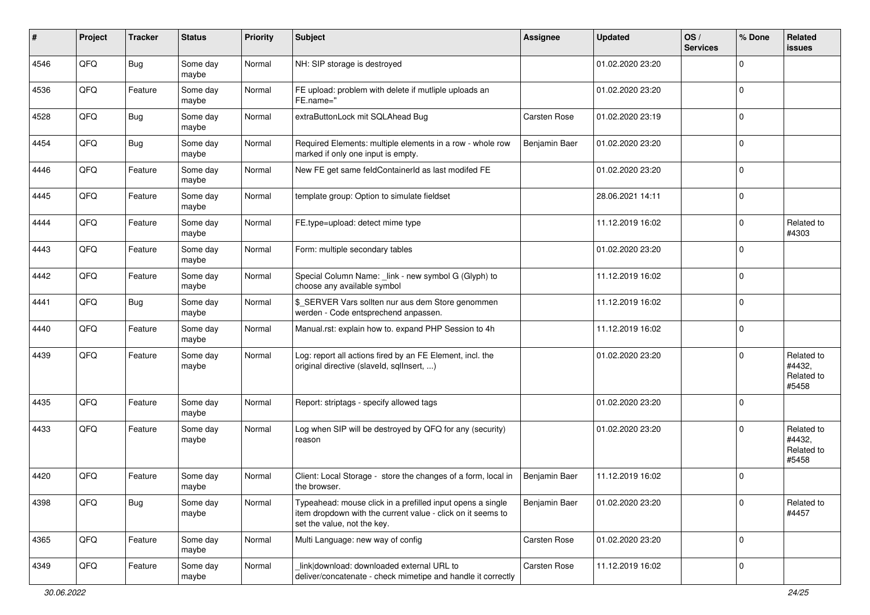| #    | Project | <b>Tracker</b> | <b>Status</b>     | <b>Priority</b> | <b>Subject</b>                                                                                                                                           | <b>Assignee</b> | <b>Updated</b>   | OS/<br><b>Services</b> | % Done      | Related<br><b>issues</b>                    |
|------|---------|----------------|-------------------|-----------------|----------------------------------------------------------------------------------------------------------------------------------------------------------|-----------------|------------------|------------------------|-------------|---------------------------------------------|
| 4546 | QFQ     | Bug            | Some day<br>maybe | Normal          | NH: SIP storage is destroyed                                                                                                                             |                 | 01.02.2020 23:20 |                        | $\mathbf 0$ |                                             |
| 4536 | QFQ     | Feature        | Some day<br>maybe | Normal          | FE upload: problem with delete if mutliple uploads an<br>FE.name="                                                                                       |                 | 01.02.2020 23:20 |                        | $\mathbf 0$ |                                             |
| 4528 | QFQ     | Bug            | Some day<br>maybe | Normal          | extraButtonLock mit SQLAhead Bug                                                                                                                         | Carsten Rose    | 01.02.2020 23:19 |                        | $\mathbf 0$ |                                             |
| 4454 | QFQ     | Bug            | Some day<br>maybe | Normal          | Required Elements: multiple elements in a row - whole row<br>marked if only one input is empty.                                                          | Benjamin Baer   | 01.02.2020 23:20 |                        | $\mathbf 0$ |                                             |
| 4446 | QFQ     | Feature        | Some day<br>maybe | Normal          | New FE get same feldContainerId as last modifed FE                                                                                                       |                 | 01.02.2020 23:20 |                        | $\mathbf 0$ |                                             |
| 4445 | QFQ     | Feature        | Some day<br>maybe | Normal          | template group: Option to simulate fieldset                                                                                                              |                 | 28.06.2021 14:11 |                        | $\mathbf 0$ |                                             |
| 4444 | QFQ     | Feature        | Some day<br>maybe | Normal          | FE.type=upload: detect mime type                                                                                                                         |                 | 11.12.2019 16:02 |                        | $\mathbf 0$ | Related to<br>#4303                         |
| 4443 | QFQ     | Feature        | Some day<br>maybe | Normal          | Form: multiple secondary tables                                                                                                                          |                 | 01.02.2020 23:20 |                        | $\mathbf 0$ |                                             |
| 4442 | QFQ     | Feature        | Some day<br>maybe | Normal          | Special Column Name: _link - new symbol G (Glyph) to<br>choose any available symbol                                                                      |                 | 11.12.2019 16:02 |                        | $\mathbf 0$ |                                             |
| 4441 | QFQ     | Bug            | Some day<br>maybe | Normal          | \$_SERVER Vars sollten nur aus dem Store genommen<br>werden - Code entsprechend anpassen.                                                                |                 | 11.12.2019 16:02 |                        | $\mathbf 0$ |                                             |
| 4440 | QFQ     | Feature        | Some day<br>maybe | Normal          | Manual.rst: explain how to. expand PHP Session to 4h                                                                                                     |                 | 11.12.2019 16:02 |                        | $\mathbf 0$ |                                             |
| 4439 | QFQ     | Feature        | Some day<br>maybe | Normal          | Log: report all actions fired by an FE Element, incl. the<br>original directive (slaveld, sqlInsert, )                                                   |                 | 01.02.2020 23:20 |                        | $\Omega$    | Related to<br>#4432,<br>Related to<br>#5458 |
| 4435 | QFQ     | Feature        | Some day<br>maybe | Normal          | Report: striptags - specify allowed tags                                                                                                                 |                 | 01.02.2020 23:20 |                        | $\mathbf 0$ |                                             |
| 4433 | QFQ     | Feature        | Some day<br>maybe | Normal          | Log when SIP will be destroyed by QFQ for any (security)<br>reason                                                                                       |                 | 01.02.2020 23:20 |                        | $\Omega$    | Related to<br>#4432,<br>Related to<br>#5458 |
| 4420 | QFQ     | Feature        | Some day<br>maybe | Normal          | Client: Local Storage - store the changes of a form, local in<br>the browser.                                                                            | Benjamin Baer   | 11.12.2019 16:02 |                        | 0           |                                             |
| 4398 | QFQ     | <b>Bug</b>     | Some day<br>maybe | Normal          | Typeahead: mouse click in a prefilled input opens a single<br>item dropdown with the current value - click on it seems to<br>set the value, not the key. | Benjamin Baer   | 01.02.2020 23:20 |                        | 0           | Related to<br>#4457                         |
| 4365 | QFQ     | Feature        | Some day<br>maybe | Normal          | Multi Language: new way of config                                                                                                                        | Carsten Rose    | 01.02.2020 23:20 |                        | $\mathbf 0$ |                                             |
| 4349 | QFQ     | Feature        | Some day<br>maybe | Normal          | link download: downloaded external URL to<br>deliver/concatenate - check mimetipe and handle it correctly                                                | Carsten Rose    | 11.12.2019 16:02 |                        | 0           |                                             |